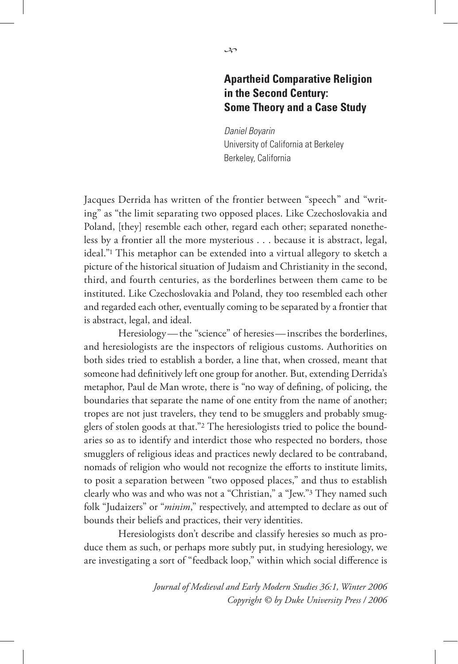# **Apartheid Comparative Religion in the Second Century: Some Theory and a Case Study**

*Daniel Boyarin* University of California at Berkeley Berkeley, California

Jacques Derrida has written of the frontier between "speech" and "writing" as "the limit separating two opposed places. Like Czechoslovakia and Poland, [they] resemble each other, regard each other; separated nonetheless by a frontier all the more mysterious . . . because it is abstract, legal, ideal."1 This metaphor can be extended into a virtual allegory to sketch a picture of the historical situation of Judaism and Christianity in the second, third, and fourth centuries, as the borderlines between them came to be instituted. Like Czechoslovakia and Poland, they too resembled each other and regarded each other, eventually coming to be separated by a frontier that is abstract, legal, and ideal.

Heresiology—the "science" of heresies—inscribes the borderlines, and heresiologists are the inspectors of religious customs. Authorities on both sides tried to establish a border, a line that, when crossed, meant that someone had definitively left one group for another. But, extending Derrida's metaphor, Paul de Man wrote, there is "no way of defining, of policing, the boundaries that separate the name of one entity from the name of another; tropes are not just travelers, they tend to be smugglers and probably smugglers of stolen goods at that."2 The heresiologists tried to police the boundaries so as to identify and interdict those who respected no borders, those smugglers of religious ideas and practices newly declared to be contraband, nomads of religion who would not recognize the efforts to institute limits, to posit a separation between "two opposed places," and thus to establish clearly who was and who was not a "Christian," a "Jew."3 They named such folk "Judaizers" or "*minim*," respectively, and attempted to declare as out of bounds their beliefs and practices, their very identities.

Heresiologists don't describe and classify heresies so much as produce them as such, or perhaps more subtly put, in studying heresiology, we are investigating a sort of "feedback loop," within which social difference is

> *Journal of Medieval and Early Modern Studies 36:1, Winter 2006 Copyright © by Duke University Press / 2006*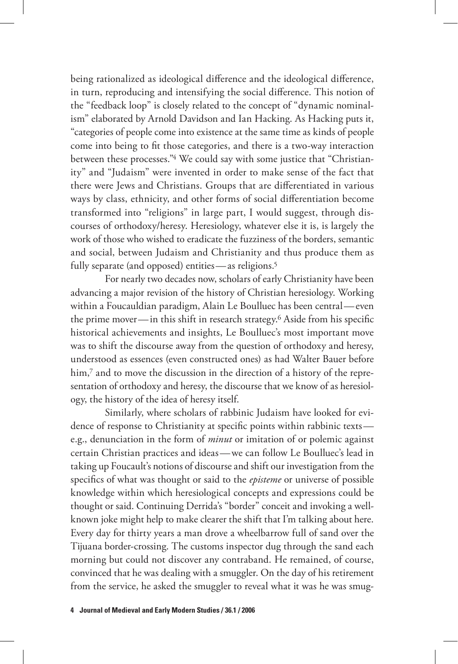being rationalized as ideological difference and the ideological difference, in turn, reproducing and intensifying the social difference. This notion of the "feedback loop" is closely related to the concept of "dynamic nominalism" elaborated by Arnold Davidson and Ian Hacking. As Hacking puts it, "categories of people come into existence at the same time as kinds of people come into being to fit those categories, and there is a two-way interaction between these processes."4 We could say with some justice that "Christianity" and "Judaism" were invented in order to make sense of the fact that there were Jews and Christians. Groups that are differentiated in various ways by class, ethnicity, and other forms of social differentiation become transformed into "religions" in large part, I would suggest, through discourses of orthodoxy/heresy. Heresiology, whatever else it is, is largely the work of those who wished to eradicate the fuzziness of the borders, semantic and social, between Judaism and Christianity and thus produce them as fully separate (and opposed) entities—as religions.5

For nearly two decades now, scholars of early Christianity have been advancing a major revision of the history of Christian heresiology. Working within a Foucauldian paradigm, Alain Le Boulluec has been central—even the prime mover—in this shift in research strategy.6 Aside from his specific historical achievements and insights, Le Boulluec's most important move was to shift the discourse away from the question of orthodoxy and heresy, understood as essences (even constructed ones) as had Walter Bauer before him,<sup>7</sup> and to move the discussion in the direction of a history of the representation of orthodoxy and heresy, the discourse that we know of as heresiology, the history of the idea of heresy itself.

Similarly, where scholars of rabbinic Judaism have looked for evidence of response to Christianity at specific points within rabbinic texts e.g., denunciation in the form of *minut* or imitation of or polemic against certain Christian practices and ideas—we can follow Le Boulluec's lead in taking up Foucault's notions of discourse and shift our investigation from the specifics of what was thought or said to the *episteme* or universe of possible knowledge within which heresiological concepts and expressions could be thought or said. Continuing Derrida's "border" conceit and invoking a wellknown joke might help to make clearer the shift that I'm talking about here. Every day for thirty years a man drove a wheelbarrow full of sand over the Tijuana border-crossing. The customs inspector dug through the sand each morning but could not discover any contraband. He remained, of course, convinced that he was dealing with a smuggler. On the day of his retirement from the service, he asked the smuggler to reveal what it was he was smug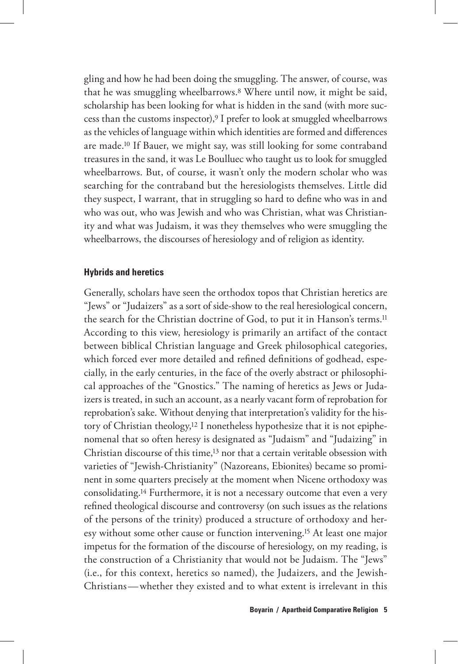gling and how he had been doing the smuggling. The answer, of course, was that he was smuggling wheelbarrows.8 Where until now, it might be said, scholarship has been looking for what is hidden in the sand (with more success than the customs inspector),9 I prefer to look at smuggled wheelbarrows as the vehicles of language within which identities are formed and differences are made.10 If Bauer, we might say, was still looking for some contraband treasures in the sand, it was Le Boulluec who taught us to look for smuggled wheelbarrows. But, of course, it wasn't only the modern scholar who was searching for the contraband but the heresiologists themselves. Little did they suspect, I warrant, that in struggling so hard to define who was in and who was out, who was Jewish and who was Christian, what was Christianity and what was Judaism, it was they themselves who were smuggling the wheelbarrows, the discourses of heresiology and of religion as identity.

# **Hybrids and heretics**

Generally, scholars have seen the orthodox topos that Christian heretics are "Jews" or "Judaizers" as a sort of side-show to the real heresiological concern, the search for the Christian doctrine of God, to put it in Hanson's terms.<sup>11</sup> According to this view, heresiology is primarily an artifact of the contact between biblical Christian language and Greek philosophical categories, which forced ever more detailed and refined definitions of godhead, especially, in the early centuries, in the face of the overly abstract or philosophical approaches of the "Gnostics." The naming of heretics as Jews or Judaizers is treated, in such an account, as a nearly vacant form of reprobation for reprobation's sake. Without denying that interpretation's validity for the history of Christian theology,12 I nonetheless hypothesize that it is not epiphenomenal that so often heresy is designated as "Judaism" and "Judaizing" in Christian discourse of this time,<sup>13</sup> nor that a certain veritable obsession with varieties of "Jewish-Christianity" (Nazoreans, Ebionites) became so prominent in some quarters precisely at the moment when Nicene orthodoxy was consolidating.14 Furthermore, it is not a necessary outcome that even a very refined theological discourse and controversy (on such issues as the relations of the persons of the trinity) produced a structure of orthodoxy and heresy without some other cause or function intervening.15 At least one major impetus for the formation of the discourse of heresiology, on my reading, is the construction of a Christianity that would not be Judaism. The "Jews" (i.e., for this context, heretics so named), the Judaizers, and the Jewish-Christians—whether they existed and to what extent is irrelevant in this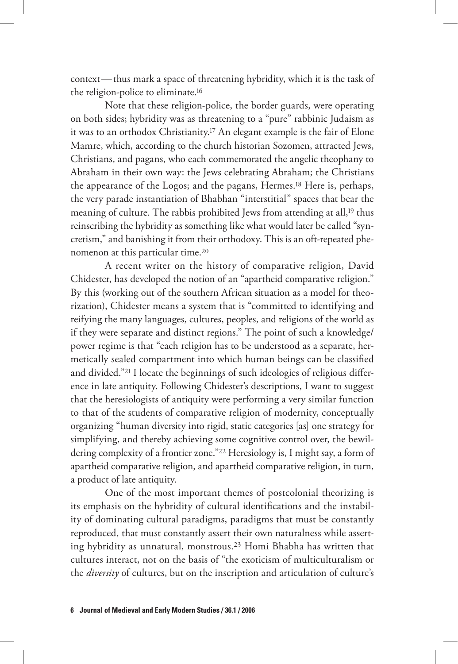context—thus mark a space of threatening hybridity, which it is the task of the religion-police to eliminate.16

Note that these religion-police, the border guards, were operating on both sides; hybridity was as threatening to a "pure" rabbinic Judaism as it was to an orthodox Christianity.17 An elegant example is the fair of Elone Mamre, which, according to the church historian Sozomen, attracted Jews, Christians, and pagans, who each commemorated the angelic theophany to Abraham in their own way: the Jews celebrating Abraham; the Christians the appearance of the Logos; and the pagans, Hermes.18 Here is, perhaps, the very parade instantiation of Bhabhan "interstitial" spaces that bear the meaning of culture. The rabbis prohibited Jews from attending at all,<sup>19</sup> thus reinscribing the hybridity as something like what would later be called "syncretism," and banishing it from their orthodoxy. This is an oft-repeated phenomenon at this particular time.20

A recent writer on the history of comparative religion, David Chidester, has developed the notion of an "apartheid comparative religion." By this (working out of the southern African situation as a model for theorization), Chidester means a system that is "committed to identifying and reifying the many languages, cultures, peoples, and religions of the world as if they were separate and distinct regions." The point of such a knowledge/ power regime is that "each religion has to be understood as a separate, hermetically sealed compartment into which human beings can be classified and divided."21 I locate the beginnings of such ideologies of religious difference in late antiquity. Following Chidester's descriptions, I want to suggest that the heresiologists of antiquity were performing a very similar function to that of the students of comparative religion of modernity, conceptually organizing "human diversity into rigid, static categories [as] one strategy for simplifying, and thereby achieving some cognitive control over, the bewildering complexity of a frontier zone."22 Heresiology is, I might say, a form of apartheid comparative religion, and apartheid comparative religion, in turn, a product of late antiquity.

One of the most important themes of postcolonial theorizing is its emphasis on the hybridity of cultural identifications and the instability of dominating cultural paradigms, paradigms that must be constantly reproduced, that must constantly assert their own naturalness while asserting hybridity as unnatural, monstrous.23 Homi Bhabha has written that cultures interact, not on the basis of "the exoticism of multiculturalism or the *diversity* of cultures, but on the inscription and articulation of culture's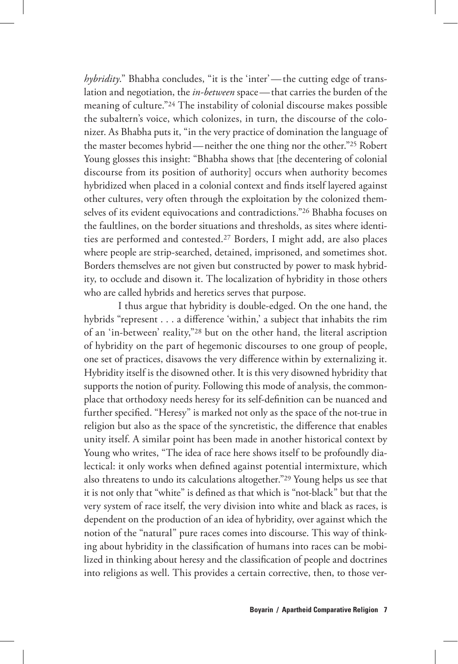*hybridity*." Bhabha concludes, "it is the 'inter'—the cutting edge of translation and negotiation, the *in-between* space—that carries the burden of the meaning of culture."24 The instability of colonial discourse makes possible the subaltern's voice, which colonizes, in turn, the discourse of the colonizer. As Bhabha puts it, "in the very practice of domination the language of the master becomes hybrid—neither the one thing nor the other."25 Robert Young glosses this insight: "Bhabha shows that [the decentering of colonial discourse from its position of authority] occurs when authority becomes hybridized when placed in a colonial context and finds itself layered against other cultures, very often through the exploitation by the colonized themselves of its evident equivocations and contradictions."26 Bhabha focuses on the faultlines, on the border situations and thresholds, as sites where identities are performed and contested.27 Borders, I might add, are also places where people are strip-searched, detained, imprisoned, and sometimes shot. Borders themselves are not given but constructed by power to mask hybridity, to occlude and disown it. The localization of hybridity in those others who are called hybrids and heretics serves that purpose.

I thus argue that hybridity is double-edged. On the one hand, the hybrids "represent . . . a difference 'within,' a subject that inhabits the rim of an 'in-between' reality,"28 but on the other hand, the literal ascription of hybridity on the part of hegemonic discourses to one group of people, one set of practices, disavows the very difference within by externalizing it. Hybridity itself is the disowned other. It is this very disowned hybridity that supports the notion of purity. Following this mode of analysis, the commonplace that orthodoxy needs heresy for its self-definition can be nuanced and further specified. "Heresy" is marked not only as the space of the not-true in religion but also as the space of the syncretistic, the difference that enables unity itself. A similar point has been made in another historical context by Young who writes, "The idea of race here shows itself to be profoundly dialectical: it only works when defined against potential intermixture, which also threatens to undo its calculations altogether."29 Young helps us see that it is not only that "white" is defined as that which is "not-black" but that the very system of race itself, the very division into white and black as races, is dependent on the production of an idea of hybridity, over against which the notion of the "natural" pure races comes into discourse. This way of thinking about hybridity in the classification of humans into races can be mobilized in thinking about heresy and the classification of people and doctrines into religions as well. This provides a certain corrective, then, to those ver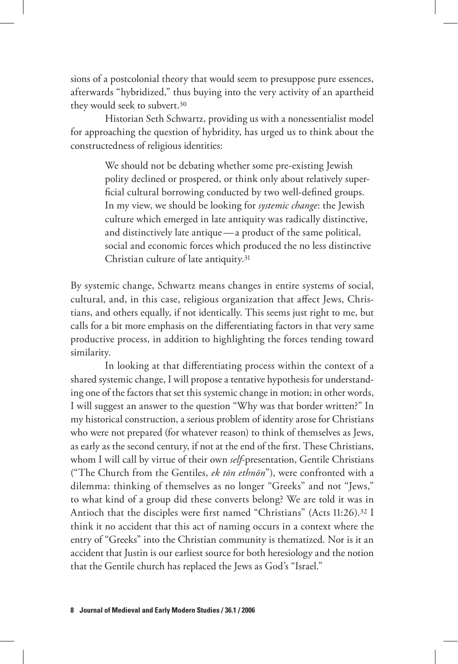sions of a postcolonial theory that would seem to presuppose pure essences, afterwards "hybridized," thus buying into the very activity of an apartheid they would seek to subvert.30

Historian Seth Schwartz, providing us with a nonessentialist model for approaching the question of hybridity, has urged us to think about the constructedness of religious identities:

> We should not be debating whether some pre-existing Jewish polity declined or prospered, or think only about relatively superficial cultural borrowing conducted by two well-defined groups. In my view, we should be looking for *systemic change*: the Jewish culture which emerged in late antiquity was radically distinctive, and distinctively late antique—a product of the same political, social and economic forces which produced the no less distinctive Christian culture of late antiquity.31

By systemic change, Schwartz means changes in entire systems of social, cultural, and, in this case, religious organization that affect Jews, Christians, and others equally, if not identically. This seems just right to me, but calls for a bit more emphasis on the differentiating factors in that very same productive process, in addition to highlighting the forces tending toward similarity.

In looking at that differentiating process within the context of a shared systemic change, I will propose a tentative hypothesis for understanding one of the factors that set this systemic change in motion; in other words, I will suggest an answer to the question "Why was that border written?" In my historical construction, a serious problem of identity arose for Christians who were not prepared (for whatever reason) to think of themselves as Jews, as early as the second century, if not at the end of the first. These Christians, whom I will call by virtue of their own *self*-presentation, Gentile Christians ("The Church from the Gentiles, *ek tōn ethnōn*"), were confronted with a dilemma: thinking of themselves as no longer "Greeks" and not "Jews," to what kind of a group did these converts belong? We are told it was in Antioch that the disciples were first named "Christians" (Acts 11:26).32 I think it no accident that this act of naming occurs in a context where the entry of "Greeks" into the Christian community is thematized. Nor is it an accident that Justin is our earliest source for both heresiology and the notion that the Gentile church has replaced the Jews as God's "Israel."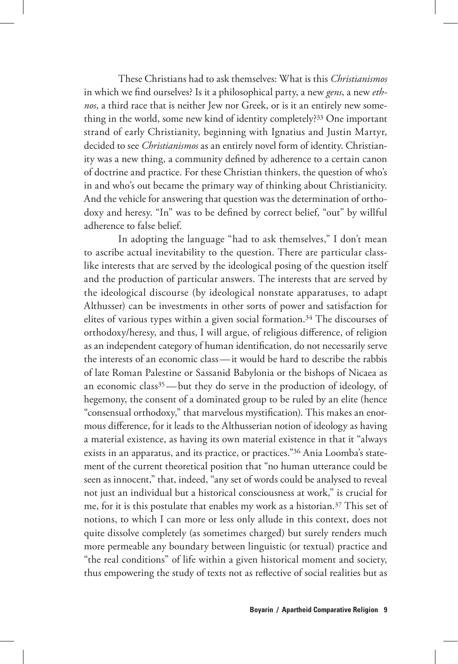These Christians had to ask themselves: What is this *Christianismos* in which we find ourselves? Is it a philosophical party, a new *gens*, a new *ethnos*, a third race that is neither Jew nor Greek, or is it an entirely new something in the world, some new kind of identity completely?33 One important strand of early Christianity, beginning with Ignatius and Justin Martyr, decided to see *Christianismos* as an entirely novel form of identity. Christianity was a new thing, a community defined by adherence to a certain canon of doctrine and practice. For these Christian thinkers, the question of who's in and who's out became the primary way of thinking about Christianicity. And the vehicle for answering that question was the determination of orthodoxy and heresy. "In" was to be defined by correct belief, "out" by willful adherence to false belief.

In adopting the language "had to ask themselves," I don't mean to ascribe actual inevitability to the question. There are particular classlike interests that are served by the ideological posing of the question itself and the production of particular answers. The interests that are served by the ideological discourse (by ideological nonstate apparatuses, to adapt Althusser) can be investments in other sorts of power and satisfaction for elites of various types within a given social formation.34 The discourses of orthodoxy/heresy, and thus, I will argue, of religious difference, of religion as an independent category of human identification, do not necessarily serve the interests of an economic class—it would be hard to describe the rabbis of late Roman Palestine or Sassanid Babylonia or the bishops of Nicaea as an economic class<sup>35</sup>—but they do serve in the production of ideology, of hegemony, the consent of a dominated group to be ruled by an elite (hence "consensual orthodoxy," that marvelous mystification). This makes an enormous difference, for it leads to the Althusserian notion of ideology as having a material existence, as having its own material existence in that it "always exists in an apparatus, and its practice, or practices."36 Ania Loomba's statement of the current theoretical position that "no human utterance could be seen as innocent," that, indeed, "any set of words could be analysed to reveal not just an individual but a historical consciousness at work," is crucial for me, for it is this postulate that enables my work as a historian.37 This set of notions, to which I can more or less only allude in this context, does not quite dissolve completely (as sometimes charged) but surely renders much more permeable any boundary between linguistic (or textual) practice and "the real conditions" of life within a given historical moment and society, thus empowering the study of texts not as reflective of social realities but as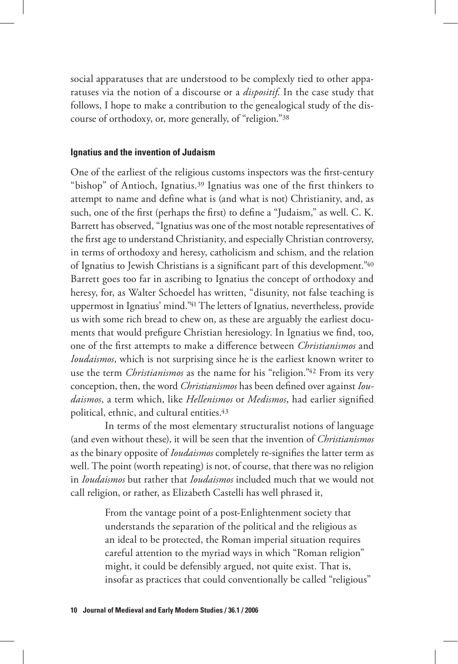social apparatuses that are understood to be complexly tied to other apparatuses via the notion of a discourse or a *dispositif*. In the case study that follows, I hope to make a contribution to the genealogical study of the discourse of orthodoxy, or, more generally, of "religion."38

## **Ignatius and the invention of Judaism**

One of the earliest of the religious customs inspectors was the first-century "bishop" of Antioch, Ignatius.<sup>39</sup> Ignatius was one of the first thinkers to attempt to name and define what is (and what is not) Christianity, and, as such, one of the first (perhaps the first) to define a "Judaism," as well. C. K. Barrett has observed, "Ignatius was one of the most notable representatives of the first age to understand Christianity, and especially Christian controversy, in terms of orthodoxy and heresy, catholicism and schism, and the relation of Ignatius to Jewish Christians is a significant part of this development."40 Barrett goes too far in ascribing to Ignatius the concept of orthodoxy and heresy, for, as Walter Schoedel has written, "disunity, not false teaching is uppermost in Ignatius' mind."41 The letters of Ignatius, nevertheless, provide us with some rich bread to chew on, as these are arguably the earliest documents that would prefigure Christian heresiology. In Ignatius we find, too, one of the first attempts to make a difference between *Christianismos* and *Ioudaismos*, which is not surprising since he is the earliest known writer to use the term *Christianismos* as the name for his "religion."42 From its very conception, then, the word *Christianismos* has been defined over against *Ioudaismos*, a term which, like *Hellenismos* or *Medismos*, had earlier signified political, ethnic, and cultural entities.43

In terms of the most elementary structuralist notions of language (and even without these), it will be seen that the invention of *Christianismos* as the binary opposite of *Ioudaismos* completely re-signifies the latter term as well. The point (worth repeating) is not, of course, that there was no religion in *Ioudaismos* but rather that *Ioudaismos* included much that we would not call religion, or rather, as Elizabeth Castelli has well phrased it,

> From the vantage point of a post-Enlightenment society that understands the separation of the political and the religious as an ideal to be protected, the Roman imperial situation requires careful attention to the myriad ways in which "Roman religion" might, it could be defensibly argued, not quite exist. That is, insofar as practices that could conventionally be called "religious"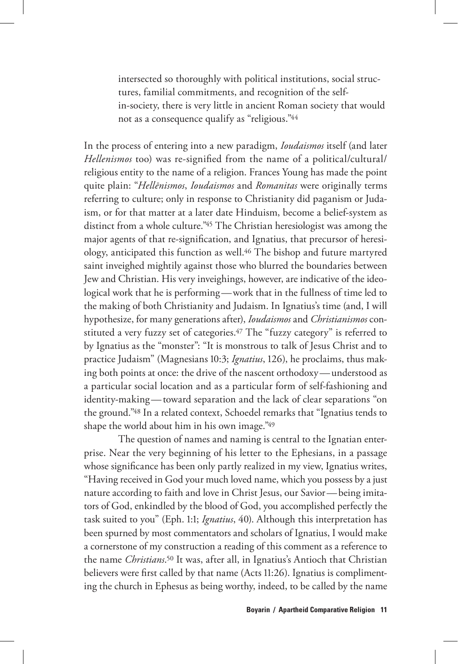intersected so thoroughly with political institutions, social structures, familial commitments, and recognition of the selfin-society, there is very little in ancient Roman society that would not as a consequence qualify as "religious."44

In the process of entering into a new paradigm, *Ioudaismos* itself (and later *Hellenismos* too) was re-signified from the name of a political/cultural/ religious entity to the name of a religion. Frances Young has made the point quite plain: "*Hellēnismos*, *Ioudaismos* and *Romanitas* were originally terms referring to culture; only in response to Christianity did paganism or Judaism, or for that matter at a later date Hinduism, become a belief-system as distinct from a whole culture."45 The Christian heresiologist was among the major agents of that re-signification, and Ignatius, that precursor of heresiology, anticipated this function as well.46 The bishop and future martyred saint inveighed mightily against those who blurred the boundaries between Jew and Christian. His very inveighings, however, are indicative of the ideological work that he is performing—work that in the fullness of time led to the making of both Christianity and Judaism. In Ignatius's time (and, I will hypothesize, for many generations after), *Ioudaismos* and *Christianismos* constituted a very fuzzy set of categories.<sup>47</sup> The "fuzzy category" is referred to by Ignatius as the "monster": "It is monstrous to talk of Jesus Christ and to practice Judaism" (Magnesians 10:3; *Ignatius*, 126), he proclaims, thus making both points at once: the drive of the nascent orthodoxy—understood as a particular social location and as a particular form of self-fashioning and identity-making—toward separation and the lack of clear separations "on the ground."48 In a related context, Schoedel remarks that "Ignatius tends to shape the world about him in his own image."49

The question of names and naming is central to the Ignatian enterprise. Near the very beginning of his letter to the Ephesians, in a passage whose significance has been only partly realized in my view, Ignatius writes, "Having received in God your much loved name, which you possess by a just nature according to faith and love in Christ Jesus, our Savior—being imitators of God, enkindled by the blood of God, you accomplished perfectly the task suited to you" (Eph. 1:1; *Ignatius*, 40). Although this interpretation has been spurned by most commentators and scholars of Ignatius, I would make a cornerstone of my construction a reading of this comment as a reference to the name *Christians*. 50 It was, after all, in Ignatius's Antioch that Christian believers were first called by that name (Acts 11:26). Ignatius is complimenting the church in Ephesus as being worthy, indeed, to be called by the name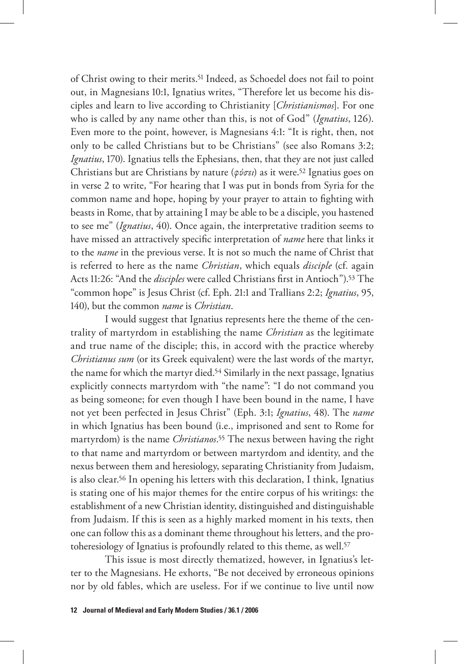of Christ owing to their merits.51 Indeed, as Schoedel does not fail to point out, in Magnesians 10:1, Ignatius writes, "Therefore let us become his disciples and learn to live according to Christianity [*Christianismos*]. For one who is called by any name other than this, is not of God" (*Ignatius*, 126). Even more to the point, however, is Magnesians 4:1: "It is right, then, not only to be called Christians but to be Christians" (see also Romans 3:2; *Ignatius*, 170). Ignatius tells the Ephesians, then, that they are not just called Christians but are Christians by nature (*φύσει*) as it were.52 Ignatius goes on in verse 2 to write, "For hearing that I was put in bonds from Syria for the common name and hope, hoping by your prayer to attain to fighting with beasts in Rome, that by attaining I may be able to be a disciple, you hastened to see me" (*Ignatius*, 40). Once again, the interpretative tradition seems to have missed an attractively specific interpretation of *name* here that links it to the *name* in the previous verse. It is not so much the name of Christ that is referred to here as the name *Christian*, which equals *disciple* (cf. again Acts 11:26: "And the *disciples* were called Christians first in Antioch").53 The "common hope" is Jesus Christ (cf. Eph. 21:1 and Trallians 2:2; *Ignatius*, 95, 140), but the common *name* is *Christian*.

I would suggest that Ignatius represents here the theme of the centrality of martyrdom in establishing the name *Christian* as the legitimate and true name of the disciple; this, in accord with the practice whereby *Christianus sum* (or its Greek equivalent) were the last words of the martyr, the name for which the martyr died.<sup>54</sup> Similarly in the next passage, Ignatius explicitly connects martyrdom with "the name": "I do not command you as being someone; for even though I have been bound in the name, I have not yet been perfected in Jesus Christ" (Eph. 3:1; *Ignatius*, 48). The *name* in which Ignatius has been bound (i.e., imprisoned and sent to Rome for martyrdom) is the name *Christianos*. 55 The nexus between having the right to that name and martyrdom or between martyrdom and identity, and the nexus between them and heresiology, separating Christianity from Judaism, is also clear.56 In opening his letters with this declaration, I think, Ignatius is stating one of his major themes for the entire corpus of his writings: the establishment of a new Christian identity, distinguished and distinguishable from Judaism. If this is seen as a highly marked moment in his texts, then one can follow this as a dominant theme throughout his letters, and the protoheresiology of Ignatius is profoundly related to this theme, as well.<sup>57</sup>

This issue is most directly thematized, however, in Ignatius's letter to the Magnesians. He exhorts, "Be not deceived by erroneous opinions nor by old fables, which are useless. For if we continue to live until now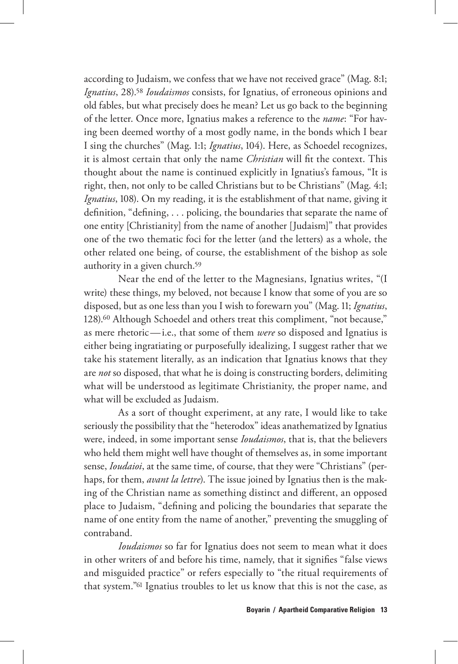according to Judaism, we confess that we have not received grace" (Mag. 8:1; *Ignatius*, 28).58 *Ioudaismos* consists, for Ignatius, of erroneous opinions and old fables, but what precisely does he mean? Let us go back to the beginning of the letter. Once more, Ignatius makes a reference to the *name*: "For having been deemed worthy of a most godly name, in the bonds which I bear I sing the churches" (Mag. 1:1; *Ignatius*, 104). Here, as Schoedel recognizes, it is almost certain that only the name *Christian* will fit the context. This thought about the name is continued explicitly in Ignatius's famous, "It is right, then, not only to be called Christians but to be Christians" (Mag. 4:1; *Ignatius*, 108). On my reading, it is the establishment of that name, giving it definition, "defining, . . . policing, the boundaries that separate the name of one entity [Christianity] from the name of another [Judaism]" that provides one of the two thematic foci for the letter (and the letters) as a whole, the other related one being, of course, the establishment of the bishop as sole authority in a given church.59

Near the end of the letter to the Magnesians, Ignatius writes, "(I write) these things, my beloved, not because I know that some of you are so disposed, but as one less than you I wish to forewarn you" (Mag. 11; *Ignatius*, 128).60 Although Schoedel and others treat this compliment, "not because," as mere rhetoric—i.e., that some of them *were* so disposed and Ignatius is either being ingratiating or purposefully idealizing, I suggest rather that we take his statement literally, as an indication that Ignatius knows that they are *not* so disposed, that what he is doing is constructing borders, delimiting what will be understood as legitimate Christianity, the proper name, and what will be excluded as Judaism.

As a sort of thought experiment, at any rate, I would like to take seriously the possibility that the "heterodox" ideas anathematized by Ignatius were, indeed, in some important sense *Ioudaismos*, that is, that the believers who held them might well have thought of themselves as, in some important sense, *Ioudaioi*, at the same time, of course, that they were "Christians" (perhaps, for them, *avant la lettre*). The issue joined by Ignatius then is the making of the Christian name as something distinct and different, an opposed place to Judaism, "defining and policing the boundaries that separate the name of one entity from the name of another," preventing the smuggling of contraband.

*Ioudaismos* so far for Ignatius does not seem to mean what it does in other writers of and before his time, namely, that it signifies "false views and misguided practice" or refers especially to "the ritual requirements of that system."61 Ignatius troubles to let us know that this is not the case, as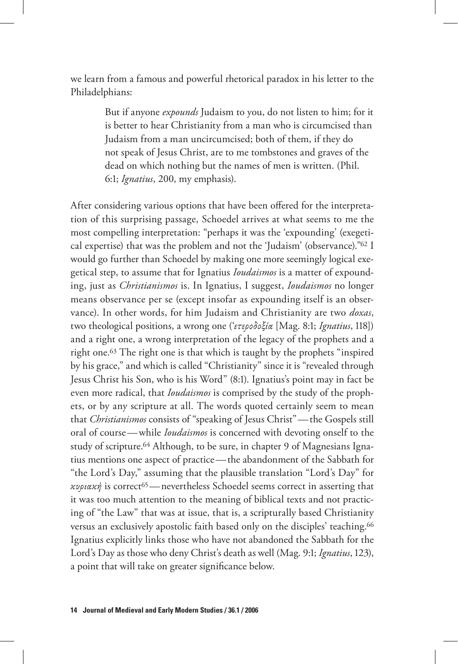we learn from a famous and powerful rhetorical paradox in his letter to the Philadelphians:

> But if anyone *expounds* Judaism to you, do not listen to him; for it is better to hear Christianity from a man who is circumcised than Judaism from a man uncircumcised; both of them, if they do not speak of Jesus Christ, are to me tombstones and graves of the dead on which nothing but the names of men is written. (Phil. 6:1; *Ignatius*, 200, my emphasis).

After considering various options that have been offered for the interpretation of this surprising passage, Schoedel arrives at what seems to me the most compelling interpretation: "perhaps it was the 'expounding' (exegetical expertise) that was the problem and not the 'Judaism' (observance)."62 I would go further than Schoedel by making one more seemingly logical exegetical step, to assume that for Ignatius *Ioudaismos* is a matter of expounding, just as *Christianismos* is. In Ignatius, I suggest, *Ioudaismos* no longer means observance per se (except insofar as expounding itself is an observance). In other words, for him Judaism and Christianity are two *doxas*, two theological positions, a wrong one ('*ετεροδοξία* [Mag. 8:1; *Ignatius*, 118]) and a right one, a wrong interpretation of the legacy of the prophets and a right one.63 The right one is that which is taught by the prophets "inspired by his grace," and which is called "Christianity" since it is "revealed through Jesus Christ his Son, who is his Word" (8:1). Ignatius's point may in fact be even more radical, that *Ioudaismos* is comprised by the study of the prophets, or by any scripture at all. The words quoted certainly seem to mean that *Christianismos* consists of "speaking of Jesus Christ"—the Gospels still oral of course—while *Ioudaismos* is concerned with devoting onself to the study of scripture.64 Although, to be sure, in chapter 9 of Magnesians Ignatius mentions one aspect of practice—the abandonment of the Sabbath for "the Lord's Day," assuming that the plausible translation "Lord's Day" for *κυριακή* is correct65—nevertheless Schoedel seems correct in asserting that it was too much attention to the meaning of biblical texts and not practicing of "the Law" that was at issue, that is, a scripturally based Christianity versus an exclusively apostolic faith based only on the disciples' teaching.66 Ignatius explicitly links those who have not abandoned the Sabbath for the Lord's Day as those who deny Christ's death as well (Mag. 9:1; *Ignatius*, 123), a point that will take on greater significance below.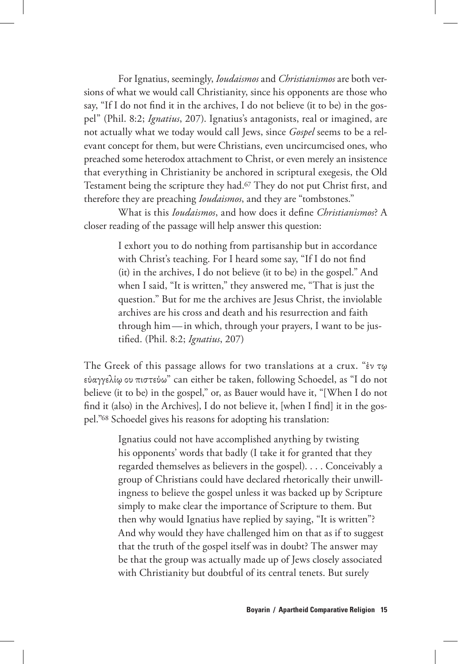For Ignatius, seemingly, *Ioudaismos* and *Christianismos* are both versions of what we would call Christianity, since his opponents are those who say, "If I do not find it in the archives, I do not believe (it to be) in the gospel" (Phil. 8:2; *Ignatius*, 207). Ignatius's antagonists, real or imagined, are not actually what we today would call Jews, since *Gospel* seems to be a relevant concept for them, but were Christians, even uncircumcised ones, who preached some heterodox attachment to Christ, or even merely an insistence that everything in Christianity be anchored in scriptural exegesis, the Old Testament being the scripture they had.<sup>67</sup> They do not put Christ first, and therefore they are preaching *Ioudaismos*, and they are "tombstones."

What is this *Ioudaismos*, and how does it define *Christianismos*? A closer reading of the passage will help answer this question:

> I exhort you to do nothing from partisanship but in accordance with Christ's teaching. For I heard some say, "If I do not find (it) in the archives, I do not believe (it to be) in the gospel." And when I said, "It is written," they answered me, "That is just the question." But for me the archives are Jesus Christ, the inviolable archives are his cross and death and his resurrection and faith through him—in which, through your prayers, I want to be justified. (Phil. 8:2; *Ignatius*, 207)

The Greek of this passage allows for two translations at a crux. "ἐν τῳ εὐαγγελίῳ ου πιστεύω" can either be taken, following Schoedel, as "I do not believe (it to be) in the gospel," or, as Bauer would have it, "[When I do not find it (also) in the Archives], I do not believe it, [when I find] it in the gospel."68 Schoedel gives his reasons for adopting his translation:

> Ignatius could not have accomplished anything by twisting his opponents' words that badly (I take it for granted that they regarded themselves as believers in the gospel). . . . Conceivably a group of Christians could have declared rhetorically their unwillingness to believe the gospel unless it was backed up by Scripture simply to make clear the importance of Scripture to them. But then why would Ignatius have replied by saying, "It is written"? And why would they have challenged him on that as if to suggest that the truth of the gospel itself was in doubt? The answer may be that the group was actually made up of Jews closely associated with Christianity but doubtful of its central tenets. But surely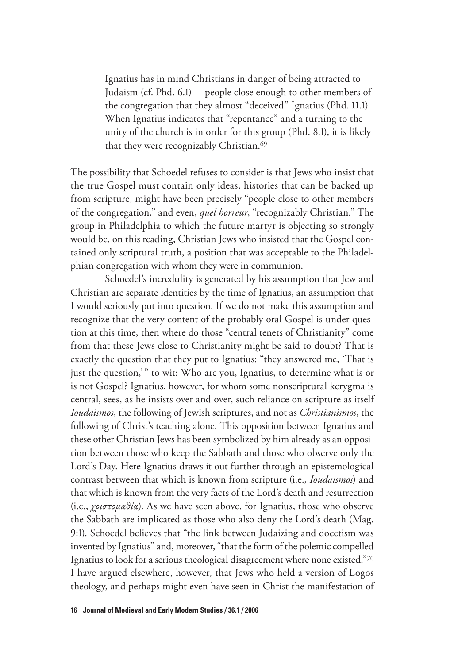Ignatius has in mind Christians in danger of being attracted to Judaism (cf. Phd. 6.1)—people close enough to other members of the congregation that they almost "deceived" Ignatius (Phd. 11.1). When Ignatius indicates that "repentance" and a turning to the unity of the church is in order for this group (Phd. 8.1), it is likely that they were recognizably Christian.69

The possibility that Schoedel refuses to consider is that Jews who insist that the true Gospel must contain only ideas, histories that can be backed up from scripture, might have been precisely "people close to other members of the congregation," and even, *quel horreur*, "recognizably Christian." The group in Philadelphia to which the future martyr is objecting so strongly would be, on this reading, Christian Jews who insisted that the Gospel contained only scriptural truth, a position that was acceptable to the Philadelphian congregation with whom they were in communion.

Schoedel's incredulity is generated by his assumption that Jew and Christian are separate identities by the time of Ignatius, an assumption that I would seriously put into question. If we do not make this assumption and recognize that the very content of the probably oral Gospel is under question at this time, then where do those "central tenets of Christianity" come from that these Jews close to Christianity might be said to doubt? That is exactly the question that they put to Ignatius: "they answered me, 'That is just the question,'" to wit: Who are you, Ignatius, to determine what is or is not Gospel? Ignatius, however, for whom some nonscriptural kerygma is central, sees, as he insists over and over, such reliance on scripture as itself *Ioudaismos*, the following of Jewish scriptures, and not as *Christianismos*, the following of Christ's teaching alone. This opposition between Ignatius and these other Christian Jews has been symbolized by him already as an opposition between those who keep the Sabbath and those who observe only the Lord's Day. Here Ignatius draws it out further through an epistemological contrast between that which is known from scripture (i.e., *Ioudaismos*) and that which is known from the very facts of the Lord's death and resurrection (i.e., *χριστομαθία*). As we have seen above, for Ignatius, those who observe the Sabbath are implicated as those who also deny the Lord's death (Mag. 9:1). Schoedel believes that "the link between Judaizing and docetism was invented by Ignatius" and, moreover, "that the form of the polemic compelled Ignatius to look for a serious theological disagreement where none existed."70 I have argued elsewhere, however, that Jews who held a version of Logos theology, and perhaps might even have seen in Christ the manifestation of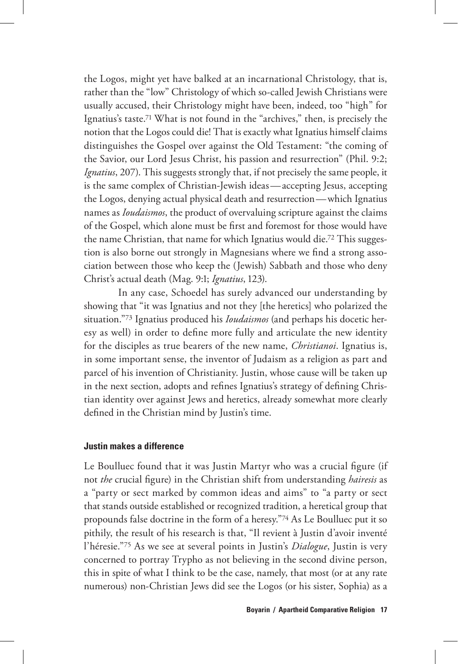the Logos, might yet have balked at an incarnational Christology, that is, rather than the "low" Christology of which so-called Jewish Christians were usually accused, their Christology might have been, indeed, too "high" for Ignatius's taste.71 What is not found in the "archives," then, is precisely the notion that the Logos could die! That is exactly what Ignatius himself claims distinguishes the Gospel over against the Old Testament: "the coming of the Savior, our Lord Jesus Christ, his passion and resurrection" (Phil. 9:2; *Ignatius*, 207). This suggests strongly that, if not precisely the same people, it is the same complex of Christian-Jewish ideas—accepting Jesus, accepting the Logos, denying actual physical death and resurrection—which Ignatius names as *Ioudaismos*, the product of overvaluing scripture against the claims of the Gospel, which alone must be first and foremost for those would have the name Christian, that name for which Ignatius would die.72 This suggestion is also borne out strongly in Magnesians where we find a strong association between those who keep the (Jewish) Sabbath and those who deny Christ's actual death (Mag. 9:1; *Ignatius*, 123).

In any case, Schoedel has surely advanced our understanding by showing that "it was Ignatius and not they [the heretics] who polarized the situation."73 Ignatius produced his *Ioudaismos* (and perhaps his docetic heresy as well) in order to define more fully and articulate the new identity for the disciples as true bearers of the new name, *Christianoi*. Ignatius is, in some important sense, the inventor of Judaism as a religion as part and parcel of his invention of Christianity. Justin, whose cause will be taken up in the next section, adopts and refines Ignatius's strategy of defining Christian identity over against Jews and heretics, already somewhat more clearly defined in the Christian mind by Justin's time.

# **Justin makes a difference**

Le Boulluec found that it was Justin Martyr who was a crucial figure (if not *the* crucial figure) in the Christian shift from understanding *hairesis* as a "party or sect marked by common ideas and aims" to "a party or sect that stands outside established or recognized tradition, a heretical group that propounds false doctrine in the form of a heresy."74 As Le Boulluec put it so pithily, the result of his research is that, "Il revient à Justin d'avoir inventé l'héresie."75 As we see at several points in Justin's *Dialogue*, Justin is very concerned to portray Trypho as not believing in the second divine person, this in spite of what I think to be the case, namely, that most (or at any rate numerous) non-Christian Jews did see the Logos (or his sister, Sophia) as a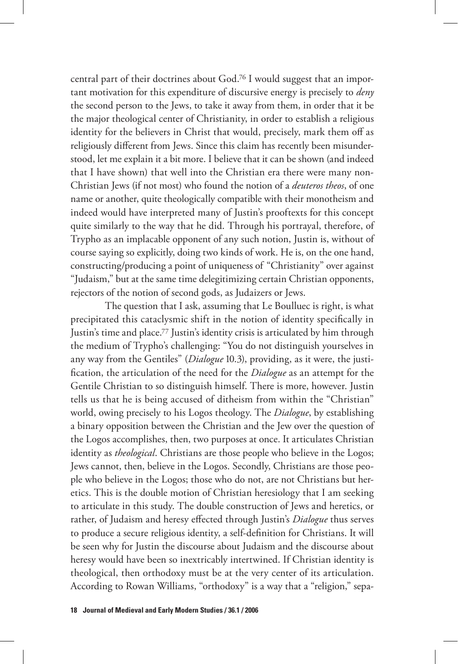central part of their doctrines about God.76 I would suggest that an important motivation for this expenditure of discursive energy is precisely to *deny* the second person to the Jews, to take it away from them, in order that it be the major theological center of Christianity, in order to establish a religious identity for the believers in Christ that would, precisely, mark them off as religiously different from Jews. Since this claim has recently been misunderstood, let me explain it a bit more. I believe that it can be shown (and indeed that I have shown) that well into the Christian era there were many non-Christian Jews (if not most) who found the notion of a *deuteros theos*, of one name or another, quite theologically compatible with their monotheism and indeed would have interpreted many of Justin's prooftexts for this concept quite similarly to the way that he did. Through his portrayal, therefore, of Trypho as an implacable opponent of any such notion, Justin is, without of course saying so explicitly, doing two kinds of work. He is, on the one hand, constructing/producing a point of uniqueness of "Christianity" over against "Judaism," but at the same time delegitimizing certain Christian opponents, rejectors of the notion of second gods, as Judaizers or Jews.

The question that I ask, assuming that Le Boulluec is right, is what precipitated this cataclysmic shift in the notion of identity specifically in Justin's time and place.77 Justin's identity crisis is articulated by him through the medium of Trypho's challenging: "You do not distinguish yourselves in any way from the Gentiles" (*Dialogue* 10.3), providing, as it were, the justification, the articulation of the need for the *Dialogue* as an attempt for the Gentile Christian to so distinguish himself. There is more, however. Justin tells us that he is being accused of ditheism from within the "Christian" world, owing precisely to his Logos theology. The *Dialogue*, by establishing a binary opposition between the Christian and the Jew over the question of the Logos accomplishes, then, two purposes at once. It articulates Christian identity as *theological*. Christians are those people who believe in the Logos; Jews cannot, then, believe in the Logos. Secondly, Christians are those people who believe in the Logos; those who do not, are not Christians but heretics. This is the double motion of Christian heresiology that I am seeking to articulate in this study. The double construction of Jews and heretics, or rather, of Judaism and heresy effected through Justin's *Dialogue* thus serves to produce a secure religious identity, a self-definition for Christians. It will be seen why for Justin the discourse about Judaism and the discourse about heresy would have been so inextricably intertwined. If Christian identity is theological, then orthodoxy must be at the very center of its articulation. According to Rowan Williams, "orthodoxy" is a way that a "religion," sepa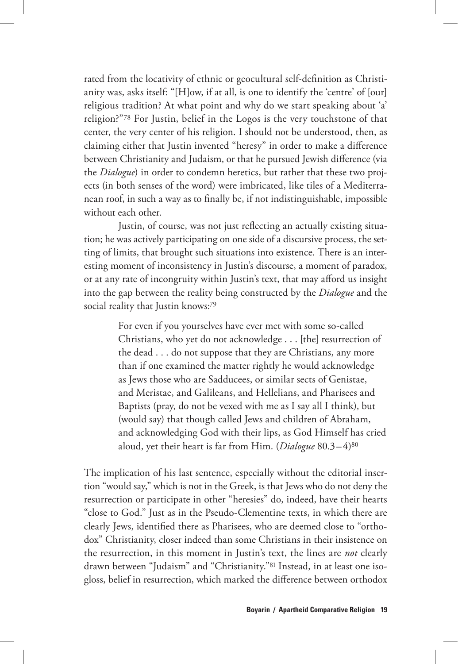rated from the locativity of ethnic or geocultural self-definition as Christianity was, asks itself: "[H]ow, if at all, is one to identify the 'centre' of [our] religious tradition? At what point and why do we start speaking about 'a' religion?"78 For Justin, belief in the Logos is the very touchstone of that center, the very center of his religion. I should not be understood, then, as claiming either that Justin invented "heresy" in order to make a difference between Christianity and Judaism, or that he pursued Jewish difference (via the *Dialogue*) in order to condemn heretics, but rather that these two projects (in both senses of the word) were imbricated, like tiles of a Mediterranean roof, in such a way as to finally be, if not indistinguishable, impossible without each other.

Justin, of course, was not just reflecting an actually existing situation; he was actively participating on one side of a discursive process, the setting of limits, that brought such situations into existence. There is an interesting moment of inconsistency in Justin's discourse, a moment of paradox, or at any rate of incongruity within Justin's text, that may afford us insight into the gap between the reality being constructed by the *Dialogue* and the social reality that Justin knows:79

> For even if you yourselves have ever met with some so-called Christians, who yet do not acknowledge . . . [the] resurrection of the dead . . . do not suppose that they are Christians, any more than if one examined the matter rightly he would acknowledge as Jews those who are Sadducees, or similar sects of Genistae, and Meristae, and Galileans, and Hellelians, and Pharisees and Baptists (pray, do not be vexed with me as I say all I think), but (would say) that though called Jews and children of Abraham, and acknowledging God with their lips, as God Himself has cried aloud, yet their heart is far from Him. (*Dialogue* 80.3 –4)80

The implication of his last sentence, especially without the editorial insertion "would say," which is not in the Greek, is that Jews who do not deny the resurrection or participate in other "heresies" do, indeed, have their hearts "close to God." Just as in the Pseudo-Clementine texts, in which there are clearly Jews, identified there as Pharisees, who are deemed close to "orthodox" Christianity, closer indeed than some Christians in their insistence on the resurrection, in this moment in Justin's text, the lines are *not* clearly drawn between "Judaism" and "Christianity."81 Instead, in at least one isogloss, belief in resurrection, which marked the difference between orthodox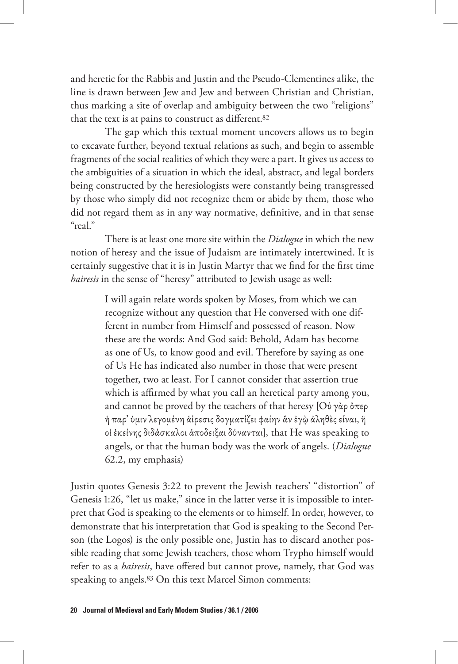and heretic for the Rabbis and Justin and the Pseudo-Clementines alike, the line is drawn between Jew and Jew and between Christian and Christian, thus marking a site of overlap and ambiguity between the two "religions" that the text is at pains to construct as different.82

The gap which this textual moment uncovers allows us to begin to excavate further, beyond textual relations as such, and begin to assemble fragments of the social realities of which they were a part. It gives us access to the ambiguities of a situation in which the ideal, abstract, and legal borders being constructed by the heresiologists were constantly being transgressed by those who simply did not recognize them or abide by them, those who did not regard them as in any way normative, definitive, and in that sense "real."

There is at least one more site within the *Dialogue* in which the new notion of heresy and the issue of Judaism are intimately intertwined. It is certainly suggestive that it is in Justin Martyr that we find for the first time *hairesis* in the sense of "heresy" attributed to Jewish usage as well:

> I will again relate words spoken by Moses, from which we can recognize without any question that He conversed with one different in number from Himself and possessed of reason. Now these are the words: And God said: Behold, Adam has become as one of Us, to know good and evil. Therefore by saying as one of Us He has indicated also number in those that were present together, two at least. For I cannot consider that assertion true which is affirmed by what you call an heretical party among you, and cannot be proved by the teachers of that heresy [Οὑ γὰρ ὅπερ ή παρ' ὑμιν λεγομένη ἁίρεσις δογματίζει φαίην ἃν ἐγῳ ἀληθὲς εἶναι, ἣ οἱ ἐκείνης διδάσκαλοι ἀποδειξαι δύνανται], that He was speaking to angels, or that the human body was the work of angels. (*Dialogue* 62.2, my emphasis)

Justin quotes Genesis 3:22 to prevent the Jewish teachers' "distortion" of Genesis 1:26, "let us make," since in the latter verse it is impossible to interpret that God is speaking to the elements or to himself. In order, however, to demonstrate that his interpretation that God is speaking to the Second Person (the Logos) is the only possible one, Justin has to discard another possible reading that some Jewish teachers, those whom Trypho himself would refer to as a *hairesis*, have offered but cannot prove, namely, that God was speaking to angels.83 On this text Marcel Simon comments: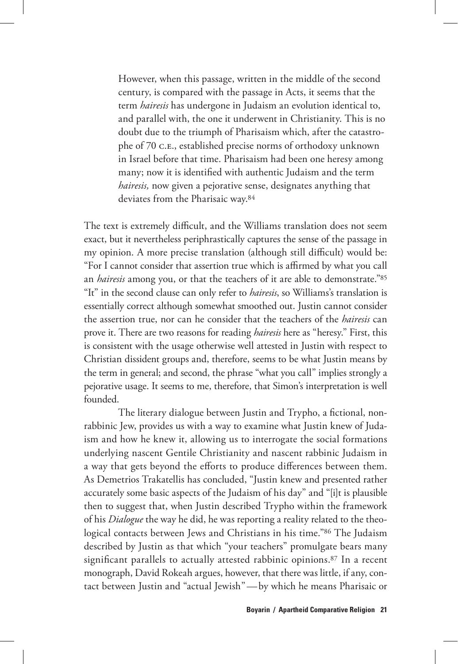However, when this passage, written in the middle of the second century, is compared with the passage in Acts, it seems that the term *hairesis* has undergone in Judaism an evolution identical to, and parallel with, the one it underwent in Christianity. This is no doubt due to the triumph of Pharisaism which, after the catastrophe of 70 c.e., established precise norms of orthodoxy unknown in Israel before that time. Pharisaism had been one heresy among many; now it is identified with authentic Judaism and the term *hairesis,* now given a pejorative sense, designates anything that deviates from the Pharisaic way.84

The text is extremely difficult, and the Williams translation does not seem exact, but it nevertheless periphrastically captures the sense of the passage in my opinion. A more precise translation (although still difficult) would be: "For I cannot consider that assertion true which is affirmed by what you call an *hairesis* among you, or that the teachers of it are able to demonstrate."85 "It" in the second clause can only refer to *hairesis*, so Williams's translation is essentially correct although somewhat smoothed out. Justin cannot consider the assertion true, nor can he consider that the teachers of the *hairesis* can prove it. There are two reasons for reading *hairesis* here as "heresy." First, this is consistent with the usage otherwise well attested in Justin with respect to Christian dissident groups and, therefore, seems to be what Justin means by the term in general; and second, the phrase "what you call" implies strongly a pejorative usage. It seems to me, therefore, that Simon's interpretation is well founded.

The literary dialogue between Justin and Trypho, a fictional, nonrabbinic Jew, provides us with a way to examine what Justin knew of Judaism and how he knew it, allowing us to interrogate the social formations underlying nascent Gentile Christianity and nascent rabbinic Judaism in a way that gets beyond the efforts to produce differences between them. As Demetrios Trakatellis has concluded, "Justin knew and presented rather accurately some basic aspects of the Judaism of his day" and "[i]t is plausible then to suggest that, when Justin described Trypho within the framework of his *Dialogue* the way he did, he was reporting a reality related to the theological contacts between Jews and Christians in his time."86 The Judaism described by Justin as that which "your teachers" promulgate bears many significant parallels to actually attested rabbinic opinions.87 In a recent monograph, David Rokeah argues, however, that there was little, if any, contact between Justin and "actual Jewish"—by which he means Pharisaic or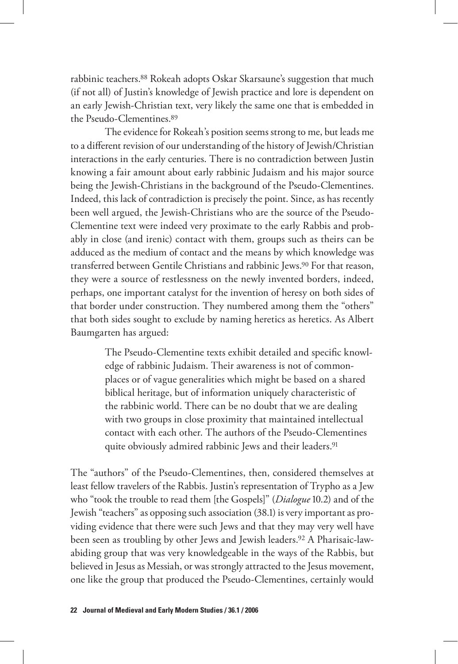rabbinic teachers.88 Rokeah adopts Oskar Skarsaune's suggestion that much (if not all) of Justin's knowledge of Jewish practice and lore is dependent on an early Jewish-Christian text, very likely the same one that is embedded in the Pseudo-Clementines.89

The evidence for Rokeah's position seems strong to me, but leads me to a different revision of our understanding of the history of Jewish/Christian interactions in the early centuries. There is no contradiction between Justin knowing a fair amount about early rabbinic Judaism and his major source being the Jewish-Christians in the background of the Pseudo-Clementines. Indeed, this lack of contradiction is precisely the point. Since, as has recently been well argued, the Jewish-Christians who are the source of the Pseudo-Clementine text were indeed very proximate to the early Rabbis and probably in close (and irenic) contact with them, groups such as theirs can be adduced as the medium of contact and the means by which knowledge was transferred between Gentile Christians and rabbinic Jews.90 For that reason, they were a source of restlessness on the newly invented borders, indeed, perhaps, one important catalyst for the invention of heresy on both sides of that border under construction. They numbered among them the "others" that both sides sought to exclude by naming heretics as heretics. As Albert Baumgarten has argued:

> The Pseudo-Clementine texts exhibit detailed and specific knowledge of rabbinic Judaism. Their awareness is not of commonplaces or of vague generalities which might be based on a shared biblical heritage, but of information uniquely characteristic of the rabbinic world. There can be no doubt that we are dealing with two groups in close proximity that maintained intellectual contact with each other. The authors of the Pseudo-Clementines quite obviously admired rabbinic Jews and their leaders.<sup>91</sup>

The "authors" of the Pseudo-Clementines, then, considered themselves at least fellow travelers of the Rabbis. Justin's representation of Trypho as a Jew who "took the trouble to read them [the Gospels]" (*Dialogue* 10.2) and of the Jewish "teachers" as opposing such association (38.1) is very important as providing evidence that there were such Jews and that they may very well have been seen as troubling by other Jews and Jewish leaders.92 A Pharisaic-lawabiding group that was very knowledgeable in the ways of the Rabbis, but believed in Jesus as Messiah, or was strongly attracted to the Jesus movement, one like the group that produced the Pseudo-Clementines, certainly would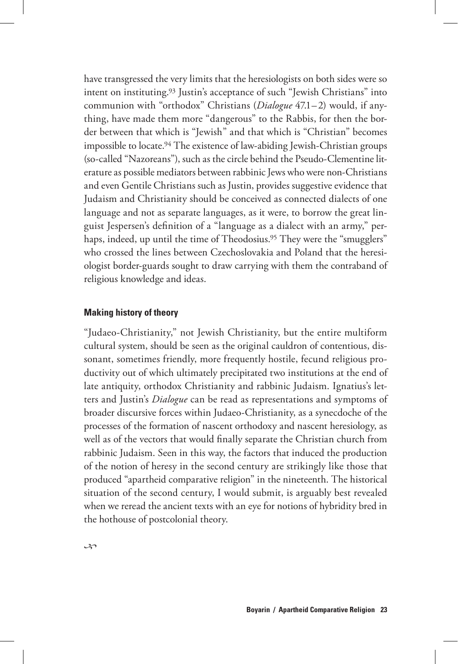have transgressed the very limits that the heresiologists on both sides were so intent on instituting.93 Justin's acceptance of such "Jewish Christians" into communion with "orthodox" Christians (*Dialogue* 47.1–2) would, if anything, have made them more "dangerous" to the Rabbis, for then the border between that which is "Jewish" and that which is "Christian" becomes impossible to locate.94 The existence of law-abiding Jewish-Christian groups (so-called "Nazoreans"), such as the circle behind the Pseudo-Clementine literature as possible mediators between rabbinic Jews who were non-Christians and even Gentile Christians such as Justin, provides suggestive evidence that Judaism and Christianity should be conceived as connected dialects of one language and not as separate languages, as it were, to borrow the great linguist Jespersen's definition of a "language as a dialect with an army," perhaps, indeed, up until the time of Theodosius.<sup>95</sup> They were the "smugglers" who crossed the lines between Czechoslovakia and Poland that the heresiologist border-guards sought to draw carrying with them the contraband of religious knowledge and ideas.

# **Making history of theory**

"Judaeo-Christianity," not Jewish Christianity, but the entire multiform cultural system, should be seen as the original cauldron of contentious, dissonant, sometimes friendly, more frequently hostile, fecund religious productivity out of which ultimately precipitated two institutions at the end of late antiquity, orthodox Christianity and rabbinic Judaism. Ignatius's letters and Justin's *Dialogue* can be read as representations and symptoms of broader discursive forces within Judaeo-Christianity, as a synecdoche of the processes of the formation of nascent orthodoxy and nascent heresiology, as well as of the vectors that would finally separate the Christian church from rabbinic Judaism. Seen in this way, the factors that induced the production of the notion of heresy in the second century are strikingly like those that produced "apartheid comparative religion" in the nineteenth. The historical situation of the second century, I would submit, is arguably best revealed when we reread the ancient texts with an eye for notions of hybridity bred in the hothouse of postcolonial theory.

 $\mathfrak{c}$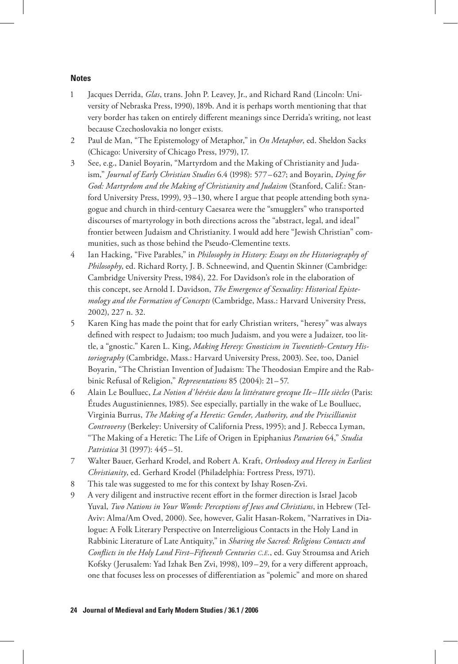## **Notes**

- 1 Jacques Derrida, *Glas*, trans. John P. Leavey, Jr., and Richard Rand (Lincoln: University of Nebraska Press, 1990), 189b. And it is perhaps worth mentioning that that very border has taken on entirely different meanings since Derrida's writing, not least because Czechoslovakia no longer exists.
- 2 Paul de Man, "The Epistemology of Metaphor," in *On Metaphor*, ed. Sheldon Sacks (Chicago: University of Chicago Press, 1979), 17.
- 3 See, e.g., Daniel Boyarin, "Martyrdom and the Making of Christianity and Judaism," *Journal of Early Christian Studies* 6.4 (1998): 577–627; and Boyarin, *Dying for God: Martyrdom and the Making of Christianity and Judaism* (Stanford, Calif.: Stanford University Press, 1999), 93–130, where I argue that people attending both synagogue and church in third-century Caesarea were the "smugglers" who transported discourses of martyrology in both directions across the "abstract, legal, and ideal" frontier between Judaism and Christianity. I would add here "Jewish Christian" communities, such as those behind the Pseudo-Clementine texts.
- 4 Ian Hacking, "Five Parables," in *Philosophy in History: Essays on the Historiography of Philosophy*, ed. Richard Rorty, J. B. Schneewind, and Quentin Skinner (Cambridge: Cambridge University Press, 1984), 22. For Davidson's role in the elaboration of this concept, see Arnold I. Davidson, *The Emergence of Sexuality: Historical Epistemology and the Formation of Concepts* (Cambridge, Mass.: Harvard University Press, 2002), 227 n. 32.
- 5 Karen King has made the point that for early Christian writers, "heresy" was always defined with respect to Judaism; too much Judaism, and you were a Judaizer, too little, a "gnostic." Karen L. King, *Making Heresy: Gnosticism in Twentieth-Century Historiography* (Cambridge, Mass.: Harvard University Press, 2003). See, too, Daniel Boyarin, "The Christian Invention of Judaism: The Theodosian Empire and the Rabbinic Refusal of Religion," *Representations* 85 (2004): 21–57.
- 6 Alain Le Boulluec, *La Notion d'hérésie dans la littérature grecque IIe–IIIe siècles* (Paris: Études Augustiniennes, 1985). See especially, partially in the wake of Le Boulluec, Virginia Burrus, *The Making of a Heretic: Gender, Authority, and the Priscillianist Controversy* (Berkeley: University of California Press, 1995); and J. Rebecca Lyman, "The Making of a Heretic: The Life of Origen in Epiphanius *Panarion* 64," *Studia Patristica* 31 (1997): 445–51.
- 7 Walter Bauer, Gerhard Krodel, and Robert A. Kraft, *Orthodoxy and Heresy in Earliest Christianity*, ed. Gerhard Krodel (Philadelphia: Fortress Press, 1971).
- 8 This tale was suggested to me for this context by Ishay Rosen-Zvi.
- 9 A very diligent and instructive recent effort in the former direction is Israel Jacob Yuval, *Two Nations in Your Womb: Perceptions of Jews and Christians*, in Hebrew (Tel-Aviv: Alma/Am Oved, 2000). See, however, Galit Hasan-Rokem, "Narratives in Dialogue: A Folk Literary Perspective on Interreligious Contacts in the Holy Land in Rabbinic Literature of Late Antiquity," in *Sharing the Sacred: Religious Contacts and Conflicts in the Holy Land First–Fifteenth Centuries c.e.*, ed. Guy Stroumsa and Arieh Kofsky (Jerusalem: Yad Izhak Ben Zvi, 1998), 109–29, for a very different approach, one that focuses less on processes of differentiation as "polemic" and more on shared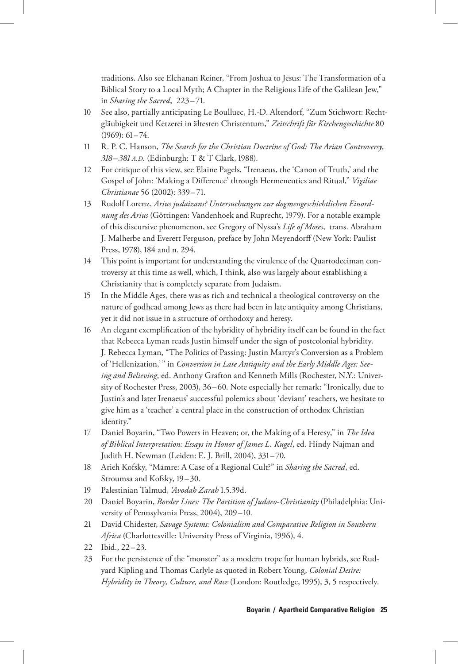traditions. Also see Elchanan Reiner, "From Joshua to Jesus: The Transformation of a Biblical Story to a Local Myth; A Chapter in the Religious Life of the Galilean Jew," in *Sharing the Sacred*, 223–71.

- 10 See also, partially anticipating Le Boulluec, H.-D. Altendorf, "Zum Stichwort: Rechtgläubigkeit und Ketzerei in ältesten Christentum," *Zeitschrift für Kirchengeschichte* 80 (1969): 61–74.
- 11 R. P. C. Hanson, *The Search for the Christian Doctrine of God: The Arian Controversy, 318–381 a.d.* (Edinburgh: T & T Clark, 1988).
- 12 For critique of this view, see Elaine Pagels, "Irenaeus, the 'Canon of Truth,' and the Gospel of John: 'Making a Difference' through Hermeneutics and Ritual," *Vigiliae Christianae* 56 (2002): 339–71.
- 13 Rudolf Lorenz, *Arius judaizans? Untersuchungen zur dogmengeschichtlichen Einordnung des Arius* (Göttingen: Vandenhoek and Ruprecht, 1979). For a notable example of this discursive phenomenon, see Gregory of Nyssa's *Life of Moses*, trans. Abraham J. Malherbe and Everett Ferguson, preface by John Meyendorff (New York: Paulist Press, 1978), 184 and n. 294.
- 14 This point is important for understanding the virulence of the Quartodeciman controversy at this time as well, which, I think, also was largely about establishing a Christianity that is completely separate from Judaism.
- 15 In the Middle Ages, there was as rich and technical a theological controversy on the nature of godhead among Jews as there had been in late antiquity among Christians, yet it did not issue in a structure of orthodoxy and heresy.
- 16 An elegant exemplification of the hybridity of hybridity itself can be found in the fact that Rebecca Lyman reads Justin himself under the sign of postcolonial hybridity. J. Rebecca Lyman, "The Politics of Passing: Justin Martyr's Conversion as a Problem of 'Hellenization,' " in *Conversion in Late Antiquity and the Early Middle Ages: Seeing and Believing*, ed. Anthony Grafton and Kenneth Mills (Rochester, N.Y.: University of Rochester Press, 2003), 36–60. Note especially her remark: "Ironically, due to Justin's and later Irenaeus' successful polemics about 'deviant' teachers, we hesitate to give him as a 'teacher' a central place in the construction of orthodox Christian identity."
- 17 Daniel Boyarin, "Two Powers in Heaven; or, the Making of a Heresy," in *The Idea of Biblical Interpretation: Essays in Honor of James L. Kugel*, ed. Hindy Najman and Judith H. Newman (Leiden: E. J. Brill, 2004), 331–70.
- 18 Arieh Kofsky, "Mamre: A Case of a Regional Cult?" in *Sharing the Sacred*, ed. Stroumsa and Kofsky, 19–30.
- 19 Palestinian Talmud, *'Avodah Zarah* 1.5.39d.
- 20 Daniel Boyarin, *Border Lines: The Partition of Judaeo-Christianity* (Philadelphia: University of Pennsylvania Press, 2004), 209–10.
- 21 David Chidester, *Savage Systems: Colonialism and Comparative Religion in Southern Africa* (Charlottesville: University Press of Virginia, 1996), 4.
- 22 Ibid., 22–23.
- 23 For the persistence of the "monster" as a modern trope for human hybrids, see Rudyard Kipling and Thomas Carlyle as quoted in Robert Young, *Colonial Desire: Hybridity in Theory, Culture, and Race* (London: Routledge, 1995), 3, 5 respectively.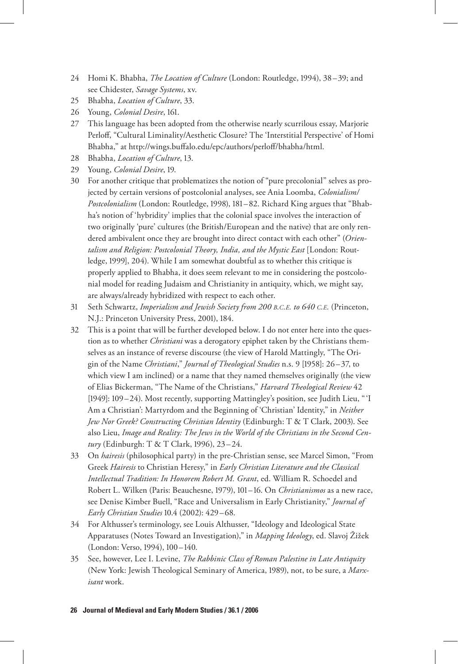- 24 Homi K. Bhabha, *The Location of Culture* (London: Routledge, 1994), 38–39; and see Chidester, *Savage Systems*, xv.
- 25 Bhabha, *Location of Culture*, 33.
- 26 Young, *Colonial Desire*, 161.
- 27 This language has been adopted from the otherwise nearly scurrilous essay, Marjorie Perloff, "Cultural Liminality/Aesthetic Closure? The 'Interstitial Perspective' of Homi Bhabha," at http://wings.buffalo.edu/epc/authors/perloff/bhabha/html.
- 28 Bhabha, *Location of Culture*, 13.
- 29 Young, *Colonial Desire*, 19.
- 30 For another critique that problematizes the notion of "pure precolonial" selves as projected by certain versions of postcolonial analyses, see Ania Loomba, *Colonialism/ Postcolonialism* (London: Routledge, 1998), 181–82. Richard King argues that "Bhabha's notion of 'hybridity' implies that the colonial space involves the interaction of two originally 'pure' cultures (the British/European and the native) that are only rendered ambivalent once they are brought into direct contact with each other" (*Orientalism and Religion: Postcolonial Theory, India, and the Mystic East* [London: Routledge, 1999], 204). While I am somewhat doubtful as to whether this critique is properly applied to Bhabha, it does seem relevant to me in considering the postcolonial model for reading Judaism and Christianity in antiquity, which, we might say, are always/already hybridized with respect to each other.
- 31 Seth Schwartz, *Imperialism and Jewish Society from 200 b.c.e. to 640 c.e.* (Princeton, N.J.: Princeton University Press, 2001), 184.
- 32 This is a point that will be further developed below. I do not enter here into the question as to whether *Christiani* was a derogatory epiphet taken by the Christians themselves as an instance of reverse discourse (the view of Harold Mattingly, "The Origin of the Name *Christiani*," *Journal of Theological Studies* n.s. 9 [1958]: 26–37, to which view I am inclined) or a name that they named themselves originally (the view of Elias Bickerman, "The Name of the Christians," *Harvard Theological Review* 42 [1949]: 109–24). Most recently, supporting Mattingley's position, see Judith Lieu, " 'I Am a Christian': Martyrdom and the Beginning of 'Christian' Identity," in *Neither Jew Nor Greek? Constructing Christian Identity* (Edinburgh: T & T Clark, 2003). See also Lieu, *Image and Reality: The Jews in the World of the Christians in the Second Century* (Edinburgh: T & T Clark, 1996), 23–24.
- 33 On *hairesis* (philosophical party) in the pre-Christian sense, see Marcel Simon, "From Greek *Hairesis* to Christian Heresy," in *Early Christian Literature and the Classical Intellectual Tradition: In Honorem Robert M. Grant*, ed. William R. Schoedel and Robert L. Wilken (Paris: Beauchesne, 1979), 101–16. On *Christianismos* as a new race, see Denise Kimber Buell, "Race and Universalism in Early Christianity," *Journal of Early Christian Studies* 10.4 (2002): 429–68.
- 34 For Althusser's terminology, see Louis Althusser, "Ideology and Ideological State Apparatuses (Notes Toward an Investigation)," in *Mapping Ideology*, ed. Slavoj Žižek (London: Verso, 1994), 100–140.
- 35 See, however, Lee I. Levine, *The Rabbinic Class of Roman Palestine in Late Antiquity* (New York: Jewish Theological Seminary of America, 1989), not, to be sure, a *Marxisant* work.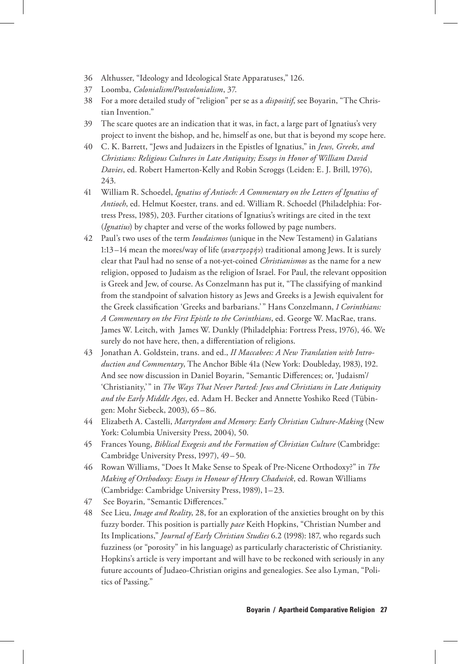- 36 Althusser, "Ideology and Ideological State Apparatuses," 126.
- 37 Loomba, *Colonialism/Postcolonialism*, 37.
- 38 For a more detailed study of "religion" per se as a *dispositif*, see Boyarin, "The Christian Invention."
- 39 The scare quotes are an indication that it was, in fact, a large part of Ignatius's very project to invent the bishop, and he, himself as one, but that is beyond my scope here.
- 40 C. K. Barrett, "Jews and Judaizers in the Epistles of Ignatius," in *Jews, Greeks, and Christians: Religious Cultures in Late Antiquity; Essays in Honor of William David Davies*, ed. Robert Hamerton-Kelly and Robin Scroggs (Leiden: E. J. Brill, 1976), 243.
- 41 William R. Schoedel, *Ignatius of Antioch: A Commentary on the Letters of Ignatius of Antioch*, ed. Helmut Koester, trans. and ed. William R. Schoedel (Philadelphia: Fortress Press, 1985), 203. Further citations of Ignatius's writings are cited in the text (*Ignatius*) by chapter and verse of the works followed by page numbers.
- 42 Paul's two uses of the term *Ioudaismos* (unique in the New Testament) in Galatians 1:13–14 mean the mores/way of life (*αναστροφήν*) traditional among Jews. It is surely clear that Paul had no sense of a not-yet-coined *Christianismos* as the name for a new religion, opposed to Judaism as the religion of Israel. For Paul, the relevant opposition is Greek and Jew, of course. As Conzelmann has put it, "The classifying of mankind from the standpoint of salvation history as Jews and Greeks is a Jewish equivalent for the Greek classification 'Greeks and barbarians.' " Hans Conzelmann, *1 Corinthians: A Commentary on the First Epistle to the Corinthians*, ed. George W. MacRae, trans. James W. Leitch, with James W. Dunkly (Philadelphia: Fortress Press, 1976), 46. We surely do not have here, then, a differentiation of religions.
- 43 Jonathan A. Goldstein, trans. and ed., *II Maccabees: A New Translation with Introduction and Commentary*, The Anchor Bible 41a (New York: Doubleday, 1983), 192. And see now discussion in Daniel Boyarin, "Semantic Differences; or, 'Judaism'/ 'Christianity,' " in *The Ways That Never Parted: Jews and Christians in Late Antiquity and the Early Middle Ages*, ed. Adam H. Becker and Annette Yoshiko Reed (Tübingen: Mohr Siebeck, 2003), 65–86.
- 44 Elizabeth A. Castelli, *Martyrdom and Memory: Early Christian Culture-Making* (New York: Columbia University Press, 2004), 50.
- 45 Frances Young, *Biblical Exegesis and the Formation of Christian Culture* (Cambridge: Cambridge University Press, 1997), 49–50.
- 46 Rowan Williams, "Does It Make Sense to Speak of Pre-Nicene Orthodoxy?" in *The Making of Orthodoxy: Essays in Honour of Henry Chadwick*, ed. Rowan Williams (Cambridge: Cambridge University Press, 1989), 1–23.
- 47 See Boyarin, "Semantic Differences."
- 48 See Lieu, *Image and Reality*, 28, for an exploration of the anxieties brought on by this fuzzy border. This position is partially *pace* Keith Hopkins, "Christian Number and Its Implications," *Journal of Early Christian Studies* 6.2 (1998): 187, who regards such fuzziness (or "porosity" in his language) as particularly characteristic of Christianity. Hopkins's article is very important and will have to be reckoned with seriously in any future accounts of Judaeo-Christian origins and genealogies. See also Lyman, "Politics of Passing."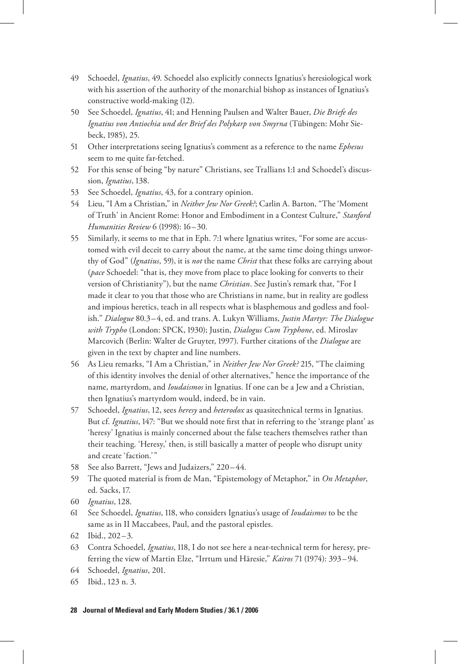- 49 Schoedel, *Ignatius*, 49. Schoedel also explicitly connects Ignatius's heresiological work with his assertion of the authority of the monarchial bishop as instances of Ignatius's constructive world-making (12).
- 50 See Schoedel, *Ignatius*, 41; and Henning Paulsen and Walter Bauer, *Die Briefe des Ignatius von Antiochia und der Brief des Polykarp von Smyrna* (Tübingen: Mohr Siebeck, 1985), 25.
- 51 Other interpretations seeing Ignatius's comment as a reference to the name *Ephesus* seem to me quite far-fetched.
- 52 For this sense of being "by nature" Christians, see Trallians 1:1 and Schoedel's discussion, *Ignatius*, 138.
- 53 See Schoedel, *Ignatius*, 43, for a contrary opinion.
- 54 Lieu, "I Am a Christian," in *Neither Jew Nor Greek?*; Carlin A. Barton, "The 'Moment of Truth' in Ancient Rome: Honor and Embodiment in a Contest Culture," *Stanford Humanities Review* 6 (1998): 16–30.
- 55 Similarly, it seems to me that in Eph. 7:1 where Ignatius writes, "For some are accustomed with evil deceit to carry about the name, at the same time doing things unworthy of God" (*Ignatius*, 59), it is *not* the name *Christ* that these folks are carrying about (*pace* Schoedel: "that is, they move from place to place looking for converts to their version of Christianity"), but the name *Christian*. See Justin's remark that, "For I made it clear to you that those who are Christians in name, but in reality are godless and impious heretics, teach in all respects what is blasphemous and godless and foolish." *Dialogue* 80.3–4, ed. and trans. A. Lukyn Williams, *Justin Martyr: The Dialogue with Trypho* (London: SPCK, 1930); Justin, *Dialogus Cum Tryphone*, ed. Miroslav Marcovich (Berlin: Walter de Gruyter, 1997). Further citations of the *Dialogue* are given in the text by chapter and line numbers.
- 56 As Lieu remarks, "I Am a Christian," in *Neither Jew Nor Greek?* 215, "The claiming of this identity involves the denial of other alternatives," hence the importance of the name, martyrdom, and *Ioudaismos* in Ignatius. If one can be a Jew and a Christian, then Ignatius's martyrdom would, indeed, be in vain.
- 57 Schoedel, *Ignatius*, 12, sees *heresy* and *heterodox* as quasitechnical terms in Ignatius. But cf. *Ignatius*, 147: "But we should note first that in referring to the 'strange plant' as 'heresy' Ignatius is mainly concerned about the false teachers themselves rather than their teaching. 'Heresy,' then, is still basically a matter of people who disrupt unity and create 'faction.' "
- 58 See also Barrett, "Jews and Judaizers," 220–44.
- 59 The quoted material is from de Man, "Epistemology of Metaphor," in *On Metaphor*, ed. Sacks, 17.
- 60 *Ignatius*, 128.
- 61 See Schoedel, *Ignatius*, 118, who considers Ignatius's usage of *Ioudaismos* to be the same as in II Maccabees, Paul, and the pastoral epistles.
- 62 Ibid., 202–3.
- 63 Contra Schoedel, *Ignatius*, 118, I do not see here a near-technical term for heresy, preferring the view of Martin Elze, "Irrtum und Häresie," *Kairos* 71 (1974): 393–94.
- 64 Schoedel, *Ignatius*, 201.
- 65 Ibid., 123 n. 3.

#### **28 Journal of Medieval and Early Modern Studies / 36.1 / 2006**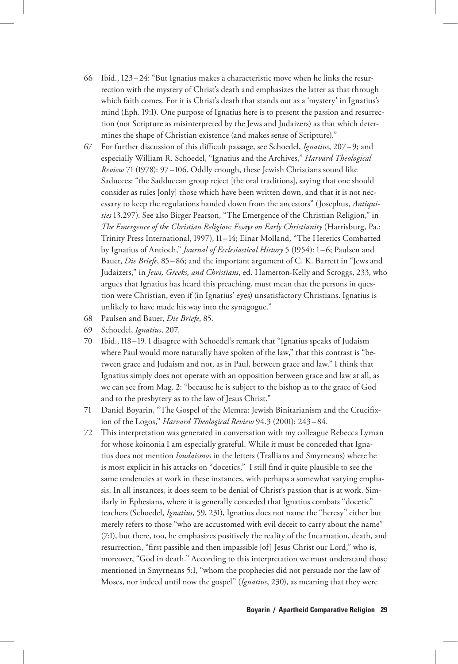- 66 Ibid., 123–24: "But Ignatius makes a characteristic move when he links the resurrection with the mystery of Christ's death and emphasizes the latter as that through which faith comes. For it is Christ's death that stands out as a 'mystery' in Ignatius's mind (Eph. 19:1). One purpose of Ignatius here is to present the passion and resurrection (not Scripture as misinterpreted by the Jews and Judaizers) as that which determines the shape of Christian existence (and makes sense of Scripture)."
- 67 For further discussion of this difficult passage, see Schoedel, *Ignatius*, 207–9; and especially William R. Schoedel, "Ignatius and the Archives," *Harvard Theological Review* 71 (1978): 97–106. Oddly enough, these Jewish Christians sound like Saducees: "the Sadducean group reject [the oral traditions], saying that one should consider as rules [only] those which have been written down, and that it is not necessary to keep the regulations handed down from the ancestors" (Josephus, *Antiquities* 13.297). See also Birger Pearson, "The Emergence of the Christian Religion," in *The Emergence of the Christian Religion: Essays on Early Christianity* (Harrisburg, Pa.: Trinity Press International, 1997), 11–14; Einar Molland, "The Heretics Combatted by Ignatius of Antioch," *Journal of Ecclesiastical History* 5 (1954): 1–6; Paulsen and Bauer, *Die Briefe*, 85–86; and the important argument of C. K. Barrett in "Jews and Judaizers," in *Jews, Greeks, and Christians*, ed. Hamerton-Kelly and Scroggs, 233, who argues that Ignatius has heard this preaching, must mean that the persons in question were Christian, even if (in Ignatius' eyes) unsatisfactory Christians. Ignatius is unlikely to have made his way into the synagogue."
- 68 Paulsen and Bauer, *Die Briefe*, 85.
- 69 Schoedel, *Ignatius*, 207.
- 70 Ibid., 118–19. I disagree with Schoedel's remark that "Ignatius speaks of Judaism where Paul would more naturally have spoken of the law," that this contrast is "between grace and Judaism and not, as in Paul, between grace and law." I think that Ignatius simply does not operate with an opposition between grace and law at all, as we can see from Mag. 2: "because he is subject to the bishop as to the grace of God and to the presbytery as to the law of Jesus Christ."
- 71 Daniel Boyarin, "The Gospel of the Memra: Jewish Binitarianism and the Crucifixion of the Logos," *Harvard Theological Review* 94.3 (2001): 243–84.
- 72 This interpretation was generated in conversation with my colleague Rebecca Lyman for whose koinonia I am especially grateful. While it must be conceded that Ignatius does not mention *Ioudaismos* in the letters (Trallians and Smyrneans) where he is most explicit in his attacks on "docetics," I still find it quite plausible to see the same tendencies at work in these instances, with perhaps a somewhat varying emphasis. In all instances, it does seem to be denial of Christ's passion that is at work. Similarly in Ephesians, where it is generally conceded that Ignatius combats "docetic" teachers (Schoedel, *Ignatius*, 59, 231), Ignatius does not name the "heresy" either but merely refers to those "who are accustomed with evil deceit to carry about the name" (7:1), but there, too, he emphasizes positively the reality of the Incarnation, death, and resurrection, "first passible and then impassible [of] Jesus Christ our Lord," who is, moreover, "God in death." According to this interpretation we must understand those mentioned in Smyrneans 5:1, "whom the prophecies did not persuade nor the law of Moses, nor indeed until now the gospel" (*Ignatius*, 230), as meaning that they were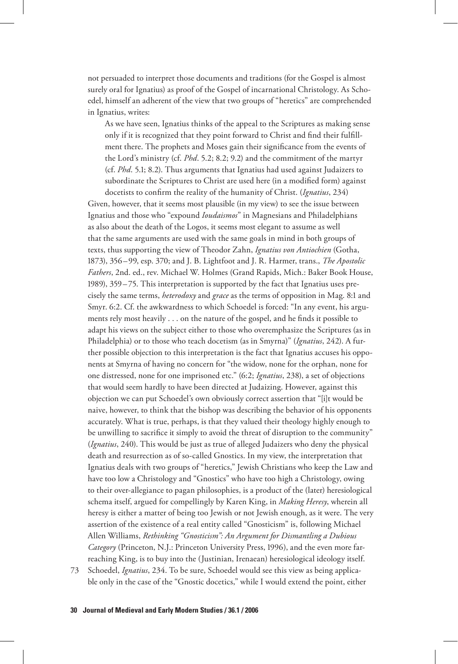not persuaded to interpret those documents and traditions (for the Gospel is almost surely oral for Ignatius) as proof of the Gospel of incarnational Christology. As Schoedel, himself an adherent of the view that two groups of "heretics" are comprehended in Ignatius, writes:

As we have seen, Ignatius thinks of the appeal to the Scriptures as making sense only if it is recognized that they point forward to Christ and find their fulfillment there. The prophets and Moses gain their significance from the events of the Lord's ministry (cf. *Phd*. 5.2; 8.2; 9.2) and the commitment of the martyr (cf. *Phd*. 5.1; 8.2). Thus arguments that Ignatius had used against Judaizers to subordinate the Scriptures to Christ are used here (in a modified form) against docetists to confirm the reality of the humanity of Christ. (*Ignatius*, 234)

Given, however, that it seems most plausible (in my view) to see the issue between Ignatius and those who "expound *Ioudaismos*" in Magnesians and Philadelphians as also about the death of the Logos, it seems most elegant to assume as well that the same arguments are used with the same goals in mind in both groups of texts, thus supporting the view of Theodor Zahn, *Ignatius von Antiochien* (Gotha, 1873), 356–99, esp. 370; and J. B. Lightfoot and J. R. Harmer, trans., *The Apostolic Fathers*, 2nd. ed., rev. Michael W. Holmes (Grand Rapids, Mich.: Baker Book House, 1989), 359–75. This interpretation is supported by the fact that Ignatius uses precisely the same terms, *heterodoxy* and *grace* as the terms of opposition in Mag. 8:1 and Smyr. 6:2. Cf. the awkwardness to which Schoedel is forced: "In any event, his arguments rely most heavily . . . on the nature of the gospel, and he finds it possible to adapt his views on the subject either to those who overemphasize the Scriptures (as in Philadelphia) or to those who teach docetism (as in Smyrna)" (*Ignatius*, 242). A further possible objection to this interpretation is the fact that Ignatius accuses his opponents at Smyrna of having no concern for "the widow, none for the orphan, none for one distressed, none for one imprisoned etc." (6:2; *Ignatius*, 238), a set of objections that would seem hardly to have been directed at Judaizing. However, against this objection we can put Schoedel's own obviously correct assertion that "[i]t would be naive, however, to think that the bishop was describing the behavior of his opponents accurately. What is true, perhaps, is that they valued their theology highly enough to be unwilling to sacrifice it simply to avoid the threat of disruption to the community" (*Ignatius*, 240). This would be just as true of alleged Judaizers who deny the physical death and resurrection as of so-called Gnostics. In my view, the interpretation that Ignatius deals with two groups of "heretics," Jewish Christians who keep the Law and have too low a Christology and "Gnostics" who have too high a Christology, owing to their over-allegiance to pagan philosophies, is a product of the (later) heresiological schema itself, argued for compellingly by Karen King, in *Making Heresy*, wherein all heresy is either a matter of being too Jewish or not Jewish enough, as it were. The very assertion of the existence of a real entity called "Gnosticism" is, following Michael Allen Williams, *Rethinking "Gnosticism": An Argument for Dismantling a Dubious Category* (Princeton, N.J.: Princeton University Press, 1996), and the even more farreaching King, is to buy into the (Justinian, Irenaean) heresiological ideology itself.

73 Schoedel, *Ignatius*, 234. To be sure, Schoedel would see this view as being applicable only in the case of the "Gnostic docetics," while I would extend the point, either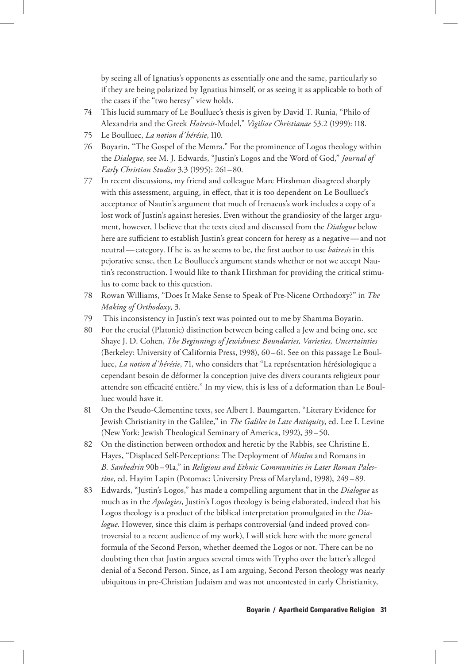by seeing all of Ignatius's opponents as essentially one and the same, particularly so if they are being polarized by Ignatius himself, or as seeing it as applicable to both of the cases if the "two heresy" view holds.

- 74 This lucid summary of Le Boulluec's thesis is given by David T. Runia, "Philo of Alexandria and the Greek *Hairesis*-Model," *Vigiliae Christianae* 53.2 (1999): 118.
- 75 Le Boulluec, *La notion d'hérésie*, 110.
- 76 Boyarin, "The Gospel of the Memra." For the prominence of Logos theology within the *Dialogue*, see M. J. Edwards, "Justin's Logos and the Word of God," *Journal of Early Christian Studies* 3.3 (1995): 261–80.
- 77 In recent discussions, my friend and colleague Marc Hirshman disagreed sharply with this assessment, arguing, in effect, that it is too dependent on Le Boulluec's acceptance of Nautin's argument that much of Irenaeus's work includes a copy of a lost work of Justin's against heresies. Even without the grandiosity of the larger argument, however, I believe that the texts cited and discussed from the *Dialogue* below here are sufficient to establish Justin's great concern for heresy as a negative—and not neutral—category. If he is, as he seems to be, the first author to use *hairesis* in this pejorative sense, then Le Boulluec's argument stands whether or not we accept Nautin's reconstruction. I would like to thank Hirshman for providing the critical stimulus to come back to this question.
- 78 Rowan Williams, "Does It Make Sense to Speak of Pre-Nicene Orthodoxy?" in *The Making of Orthodoxy*, 3.
- 79 This inconsistency in Justin's text was pointed out to me by Shamma Boyarin.
- 80 For the crucial (Platonic) distinction between being called a Jew and being one, see Shaye J. D. Cohen, *The Beginnings of Jewishness: Boundaries, Varieties, Uncertainties* (Berkeley: University of California Press, 1998), 60–61. See on this passage Le Boulluec, *La notion d'hérésie*, 71, who considers that "La représentation hérésiologique a cependant besoin de déformer la conception juive des divers courants religieux pour attendre son efficacité entière." In my view, this is less of a deformation than Le Boulluec would have it.
- 81 On the Pseudo-Clementine texts, see Albert I. Baumgarten, "Literary Evidence for Jewish Christianity in the Galilee," in *The Galilee in Late Antiquity*, ed. Lee I. Levine (New York: Jewish Theological Seminary of America, 1992), 39–50.
- 82 On the distinction between orthodox and heretic by the Rabbis, see Christine E. Hayes, "Displaced Self-Perceptions: The Deployment of *Mînîm* and Romans in *B. Sanhedrin* 90b–91a," in *Religious and Ethnic Communities in Later Roman Palestine*, ed. Hayim Lapin (Potomac: University Press of Maryland, 1998), 249–89.
- 83 Edwards, "Justin's Logos," has made a compelling argument that in the *Dialogue* as much as in the *Apologies*, Justin's Logos theology is being elaborated, indeed that his Logos theology is a product of the biblical interpretation promulgated in the *Dialogue*. However, since this claim is perhaps controversial (and indeed proved controversial to a recent audience of my work), I will stick here with the more general formula of the Second Person, whether deemed the Logos or not. There can be no doubting then that Justin argues several times with Trypho over the latter's alleged denial of a Second Person. Since, as I am arguing, Second Person theology was nearly ubiquitous in pre-Christian Judaism and was not uncontested in early Christianity,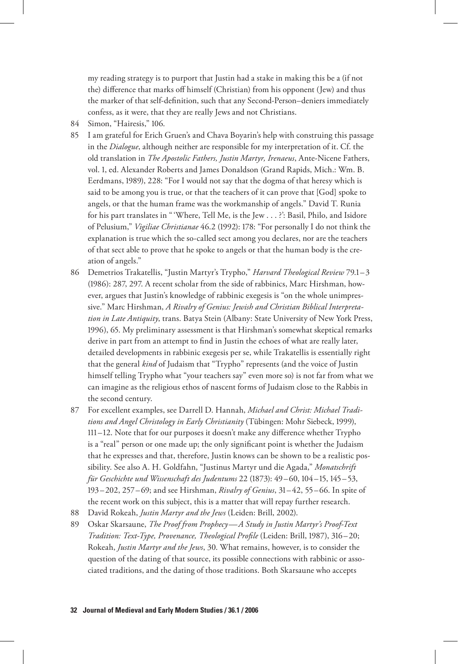my reading strategy is to purport that Justin had a stake in making this be a (if not the) difference that marks off himself (Christian) from his opponent (Jew) and thus the marker of that self-definition, such that any Second-Person–deniers immediately confess, as it were, that they are really Jews and not Christians.

- 84 Simon, "Hairesis," 106.
- 85 I am grateful for Erich Gruen's and Chava Boyarin's help with construing this passage in the *Dialogue*, although neither are responsible for my interpretation of it. Cf. the old translation in *The Apostolic Fathers, Justin Martyr, Irenaeus*, Ante-Nicene Fathers, vol. 1, ed. Alexander Roberts and James Donaldson (Grand Rapids, Mich.: Wm. B. Eerdmans, 1989), 228: "For I would not say that the dogma of that heresy which is said to be among you is true, or that the teachers of it can prove that [God] spoke to angels, or that the human frame was the workmanship of angels." David T. Runia for his part translates in " 'Where, Tell Me, is the Jew . . . ?': Basil, Philo, and Isidore of Pelusium," *Vigiliae Christianae* 46.2 (1992): 178: "For personally I do not think the explanation is true which the so-called sect among you declares, nor are the teachers of that sect able to prove that he spoke to angels or that the human body is the creation of angels."
- 86 Demetrios Trakatellis, "Justin Martyr's Trypho," *Harvard Theological Review* 79.1–3 (1986): 287, 297. A recent scholar from the side of rabbinics, Marc Hirshman, however, argues that Justin's knowledge of rabbinic exegesis is "on the whole unimpressive." Marc Hirshman, *A Rivalry of Genius: Jewish and Christian Biblical Interpretation in Late Antiquity*, trans. Batya Stein (Albany: State University of New York Press, 1996), 65. My preliminary assessment is that Hirshman's somewhat skeptical remarks derive in part from an attempt to find in Justin the echoes of what are really later, detailed developments in rabbinic exegesis per se, while Trakatellis is essentially right that the general *kind* of Judaism that "Trypho" represents (and the voice of Justin himself telling Trypho what "your teachers say" even more so) is not far from what we can imagine as the religious ethos of nascent forms of Judaism close to the Rabbis in the second century.
- 87 For excellent examples, see Darrell D. Hannah, *Michael and Christ: Michael Traditions and Angel Christology in Early Christianity* (Tübingen: Mohr Siebeck, 1999), 111–12. Note that for our purposes it doesn't make any difference whether Trypho is a "real" person or one made up; the only significant point is whether the Judaism that he expresses and that, therefore, Justin knows can be shown to be a realistic possibility. See also A. H. Goldfahn, "Justinus Martyr und die Agada," *Monatschrift für Geschichte und Wissenschaft des Judentums* 22 (1873): 49–60, 104–15, 145–53, 193–202, 257–69; and see Hirshman, *Rivalry of Genius*, 31–42, 55–66. In spite of the recent work on this subject, this is a matter that will repay further research.
- 88 David Rokeah, *Justin Martyr and the Jews* (Leiden: Brill, 2002).
- 89 Oskar Skarsaune, *The Proof from Prophecy—A Study in Justin Martyr's Proof-Text Tradition: Text-Type, Provenance, Theological Profile* (Leiden: Brill, 1987), 316–20; Rokeah, *Justin Martyr and the Jews*, 30. What remains, however, is to consider the question of the dating of that source, its possible connections with rabbinic or associated traditions, and the dating of those traditions. Both Skarsaune who accepts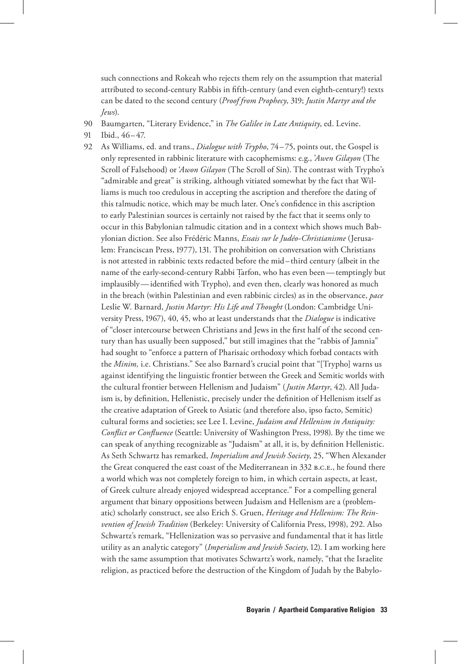such connections and Rokeah who rejects them rely on the assumption that material attributed to second-century Rabbis in fifth-century (and even eighth-century!) texts can be dated to the second century (*Proof from Prophecy*, 319; *Justin Martyr and the Jews*).

- 90 Baumgarten, "Literary Evidence," in *The Galilee in Late Antiquity*, ed. Levine.
- 91 Ibid., 46–47.
- 92 As Williams, ed. and trans., *Dialogue with Trypho*, 74–75, points out, the Gospel is only represented in rabbinic literature with cacophemisms: e.g., '*Awen Gilayon* (The Scroll of Falsehood) or '*Awon Gilayon* (The Scroll of Sin). The contrast with Trypho's "admirable and great" is striking, although vitiated somewhat by the fact that Williams is much too credulous in accepting the ascription and therefore the dating of this talmudic notice, which may be much later. One's confidence in this ascription to early Palestinian sources is certainly not raised by the fact that it seems only to occur in this Babylonian talmudic citation and in a context which shows much Babylonian diction. See also Frédéric Manns, *Essais sur le Judéo-Christianisme* (Jerusalem: Franciscan Press, 1977), 131. The prohibition on conversation with Christians is not attested in rabbinic texts redacted before the mid–third century (albeit in the name of the early-second-century Rabbi Tarfon, who has even been—temptingly but implausibly—identified with Trypho), and even then, clearly was honored as much in the breach (within Palestinian and even rabbinic circles) as in the observance, *pace* Leslie W. Barnard, *Justin Martyr: His Life and Thought* (London: Cambridge University Press, 1967), 40, 45, who at least understands that the *Dialogue* is indicative of "closer intercourse between Christians and Jews in the first half of the second century than has usually been supposed," but still imagines that the "rabbis of Jamnia" had sought to "enforce a pattern of Pharisaic orthodoxy which forbad contacts with the *Minim,* i.e. Christians." See also Barnard's crucial point that "[Trypho] warns us against identifying the linguistic frontier between the Greek and Semitic worlds with the cultural frontier between Hellenism and Judaism" (*Justin Martyr*, 42). All Judaism is, by definition, Hellenistic, precisely under the definition of Hellenism itself as the creative adaptation of Greek to Asiatic (and therefore also, ipso facto, Semitic) cultural forms and societies; see Lee I. Levine, *Judaism and Hellenism in Antiquity: Conflict or Confluence* (Seattle: University of Washington Press, 1998). By the time we can speak of anything recognizable as "Judaism" at all, it is, by definition Hellenistic. As Seth Schwartz has remarked, *Imperialism and Jewish Society*, 25, "When Alexander the Great conquered the east coast of the Mediterranean in 332 b.c.e., he found there a world which was not completely foreign to him, in which certain aspects, at least, of Greek culture already enjoyed widespread acceptance." For a compelling general argument that binary oppositions between Judaism and Hellenism are a (problematic) scholarly construct, see also Erich S. Gruen, *Heritage and Hellenism: The Reinvention of Jewish Tradition* (Berkeley: University of California Press, 1998), 292. Also Schwartz's remark, "Hellenization was so pervasive and fundamental that it has little utility as an analytic category" (*Imperialism and Jewish Society*, 12). I am working here with the same assumption that motivates Schwartz's work, namely, "that the Israelite religion, as practiced before the destruction of the Kingdom of Judah by the Babylo-